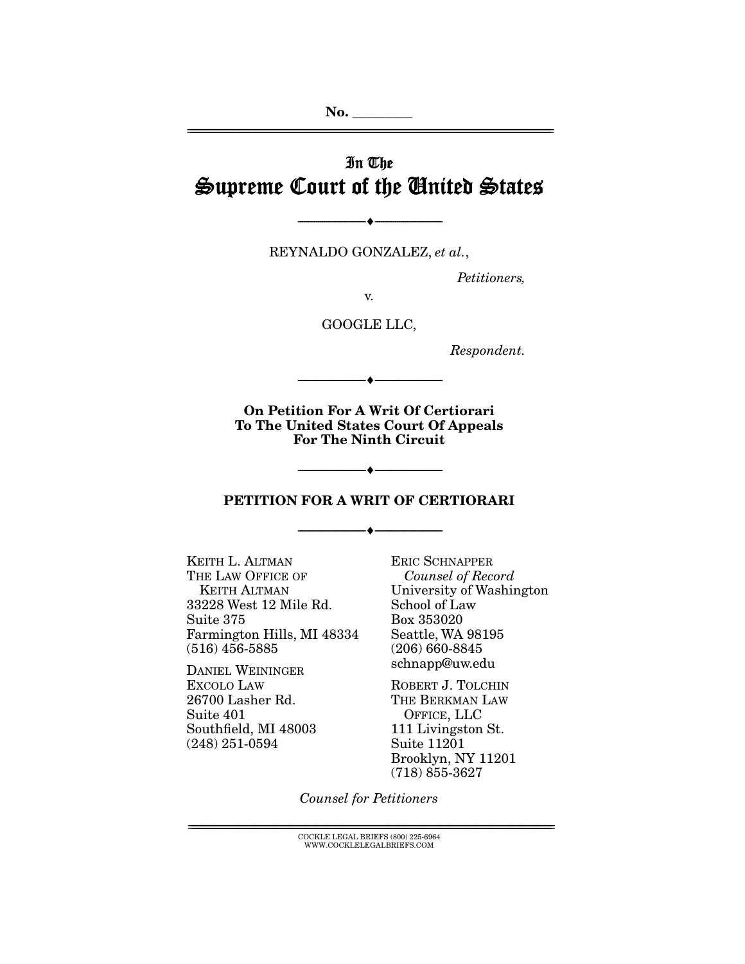# In The Supreme Court of the United States

================================================================================================================

REYNALDO GONZALEZ, *et al.*,

--------------------------------- ♦ ---------------------------------

*Petitioners,* 

v.

GOOGLE LLC,

*Respondent.* 

**On Petition For A Writ Of Certiorari To The United States Court Of Appeals For The Ninth Circuit** 

--------------------------------- ♦ ---------------------------------

#### **PETITION FOR A WRIT OF CERTIORARI**

--------------------------------- ♦ ---------------------------------

--------------------------------- ♦ ---------------------------------

KEITH L. ALTMAN THE LAW OFFICE OF KEITH ALTMAN 33228 West 12 Mile Rd. Suite 375 Farmington Hills, MI 48334 (516) 456-5885

DANIEL WEININGER EXCOLO LAW 26700 Lasher Rd. Suite 401 Southfield, MI 48003 (248) 251-0594

ERIC SCHNAPPER *Counsel of Record*  University of Washington School of Law Box 353020 Seattle, WA 98195 (206) 660-8845 schnapp@uw.edu

ROBERT J. TOLCHIN THE BERKMAN LAW OFFICE, LLC 111 Livingston St. Suite 11201 Brooklyn, NY 11201 (718) 855-3627

*Counsel for Petitioners*

 ${ \rm COCKLE}$  LEGAL BRIEFS (800) 225-6964 WWW.COCKLELEGALBRIEFS.COM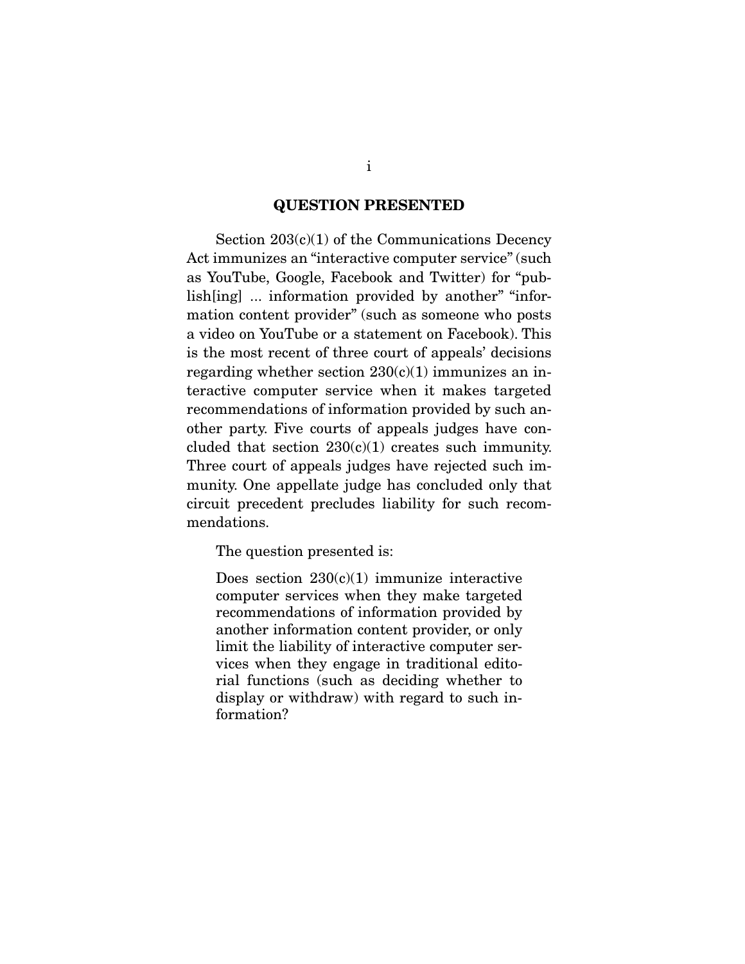#### **QUESTION PRESENTED**

Section  $203(c)(1)$  of the Communications Decency Act immunizes an "interactive computer service" (such as YouTube, Google, Facebook and Twitter) for "publish[ing] ... information provided by another" "information content provider" (such as someone who posts a video on YouTube or a statement on Facebook). This is the most recent of three court of appeals' decisions regarding whether section  $230(c)(1)$  immunizes an interactive computer service when it makes targeted recommendations of information provided by such another party. Five courts of appeals judges have concluded that section  $230(c)(1)$  creates such immunity. Three court of appeals judges have rejected such immunity. One appellate judge has concluded only that circuit precedent precludes liability for such recommendations.

The question presented is:

Does section  $230(c)(1)$  immunize interactive computer services when they make targeted recommendations of information provided by another information content provider, or only limit the liability of interactive computer services when they engage in traditional editorial functions (such as deciding whether to display or withdraw) with regard to such information?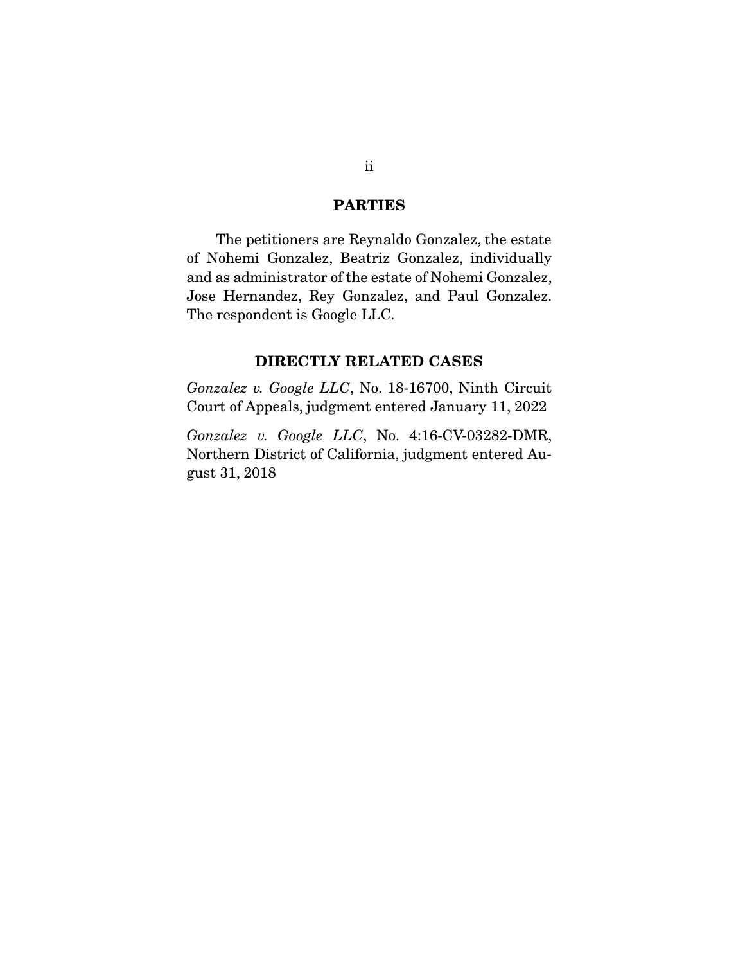#### **PARTIES**

 The petitioners are Reynaldo Gonzalez, the estate of Nohemi Gonzalez, Beatriz Gonzalez, individually and as administrator of the estate of Nohemi Gonzalez, Jose Hernandez, Rey Gonzalez, and Paul Gonzalez. The respondent is Google LLC.

### **DIRECTLY RELATED CASES**

*Gonzalez v. Google LLC*, No. 18-16700, Ninth Circuit Court of Appeals, judgment entered January 11, 2022

*Gonzalez v. Google LLC*, No. 4:16-CV-03282-DMR, Northern District of California, judgment entered August 31, 2018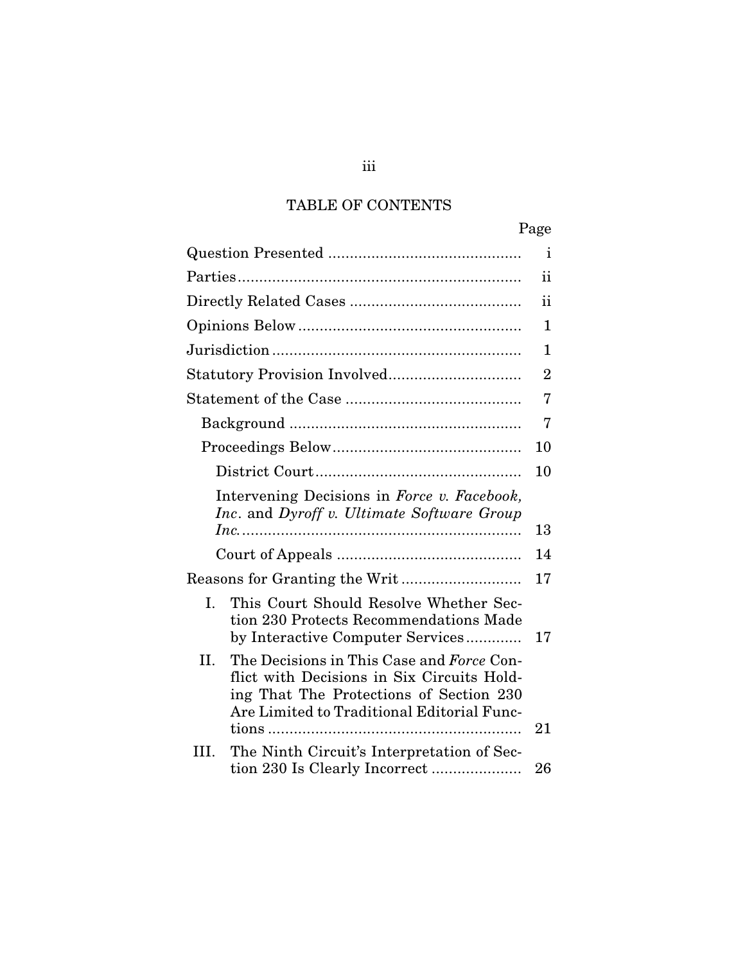# TABLE OF CONTENTS

|      |                                                                                                                                                                                  | Page           |
|------|----------------------------------------------------------------------------------------------------------------------------------------------------------------------------------|----------------|
|      |                                                                                                                                                                                  | $\mathbf{1}$   |
|      |                                                                                                                                                                                  | ii             |
|      |                                                                                                                                                                                  | 11             |
|      |                                                                                                                                                                                  | 1              |
|      |                                                                                                                                                                                  | 1              |
|      |                                                                                                                                                                                  | $\overline{2}$ |
|      |                                                                                                                                                                                  | 7              |
|      |                                                                                                                                                                                  | 7              |
|      |                                                                                                                                                                                  | 10             |
|      |                                                                                                                                                                                  | 10             |
|      | Intervening Decisions in Force v. Facebook,<br>Inc. and Dyroff v. Ultimate Software Group                                                                                        |                |
|      |                                                                                                                                                                                  | 13             |
|      |                                                                                                                                                                                  | 14             |
|      |                                                                                                                                                                                  | 17             |
| I.   | This Court Should Resolve Whether Sec-<br>tion 230 Protects Recommendations Made<br>by Interactive Computer Services                                                             | 17             |
| II.  | The Decisions in This Case and Force Con-<br>flict with Decisions in Six Circuits Hold-<br>ing That The Protections of Section 230<br>Are Limited to Traditional Editorial Func- |                |
|      |                                                                                                                                                                                  | 21             |
| III. | The Ninth Circuit's Interpretation of Sec-                                                                                                                                       | 26             |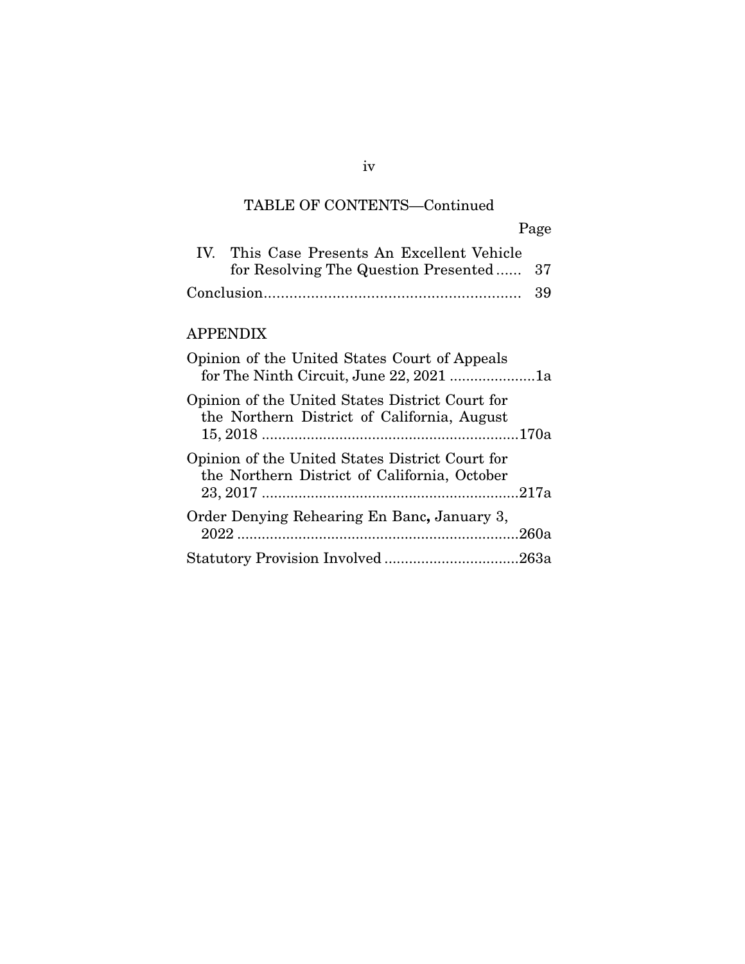# TABLE OF CONTENTS—Continued

|                                             | Page |
|---------------------------------------------|------|
| IV. This Case Presents An Excellent Vehicle |      |
| for Resolving The Question Presented 37     |      |
|                                             |      |

## APPENDIX

| Opinion of the United States Court of Appeals<br>for The Ninth Circuit, June 22, 2021 1a        |  |
|-------------------------------------------------------------------------------------------------|--|
| Opinion of the United States District Court for<br>the Northern District of California, August  |  |
| Opinion of the United States District Court for<br>the Northern District of California, October |  |
| Order Denying Rehearing En Banc, January 3,                                                     |  |
|                                                                                                 |  |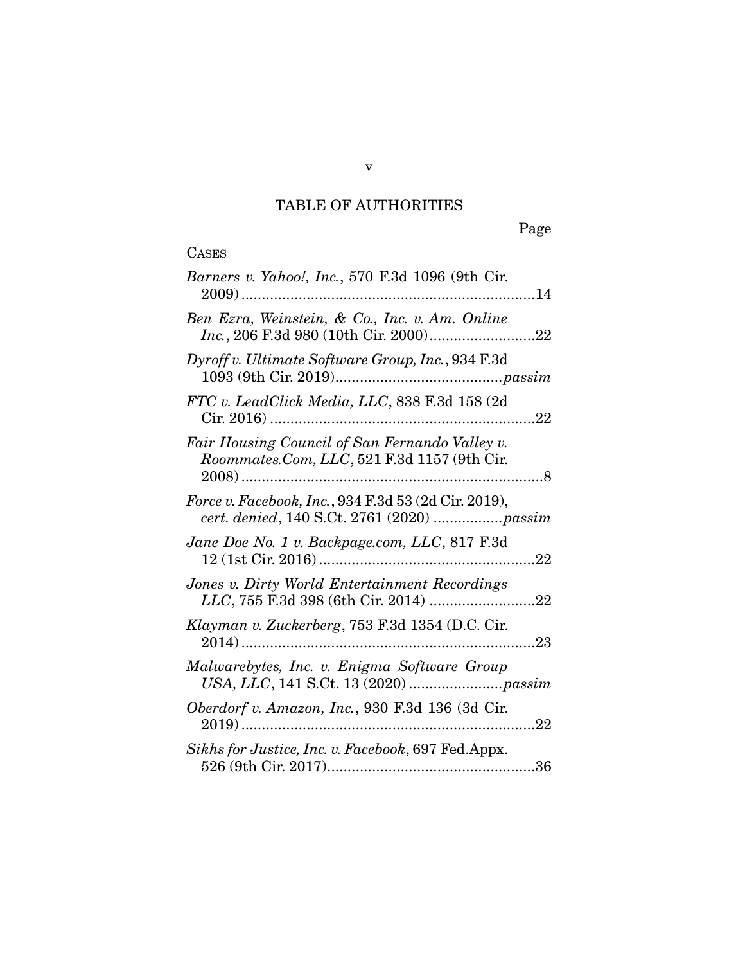# TABLE OF AUTHORITIES

| Barners v. Yahoo!, Inc., 570 F.3d 1096 (9th Cir.                                                   |
|----------------------------------------------------------------------------------------------------|
| Ben Ezra, Weinstein, & Co., Inc. v. Am. Online                                                     |
| Dyroff v. Ultimate Software Group, Inc., 934 F.3d                                                  |
| FTC v. LeadClick Media, LLC, 838 F.3d 158 (2d                                                      |
| Fair Housing Council of San Fernando Valley v.<br>Roommates.Com, LLC, 521 F.3d 1157 (9th Cir.      |
| Force v. Facebook, Inc., 934 F.3d 53 (2d Cir. 2019),<br>cert. denied, 140 S.Ct. 2761 (2020) passim |
| Jane Doe No. 1 v. Backpage.com, LLC, 817 F.3d<br>.22                                               |
| Jones v. Dirty World Entertainment Recordings                                                      |
| Klayman v. Zuckerberg, 753 F.3d 1354 (D.C. Cir.                                                    |
| Malwarebytes, Inc. v. Enigma Software Group                                                        |
| Oberdorf v. Amazon, Inc., 930 F.3d 136 (3d Cir.<br>22                                              |
| Sikhs for Justice, Inc. v. Facebook, 697 Fed. Appx.                                                |

v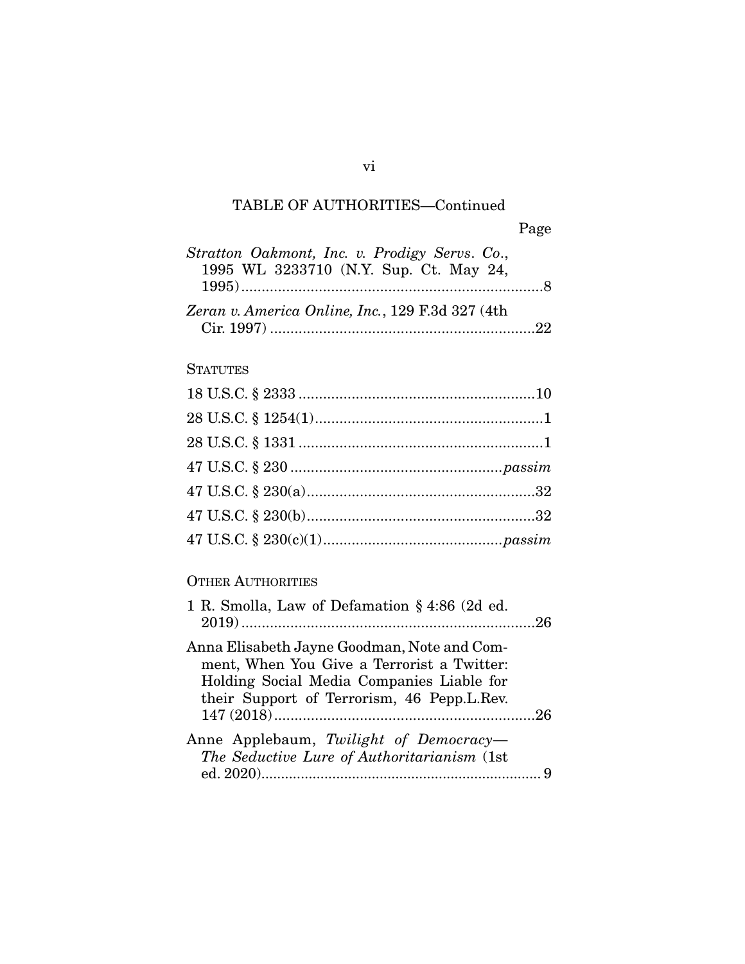# TABLE OF AUTHORITIES—Continued

| Stratton Oakmont, Inc. v. Prodigy Servs. Co.,    |  |
|--------------------------------------------------|--|
| 1995 WL 3233710 (N.Y. Sup. Ct. May 24,           |  |
|                                                  |  |
|                                                  |  |
| Zeran v. America Online, Inc., 129 F.3d 327 (4th |  |
|                                                  |  |

## **STATUTES**

## OTHER AUTHORITIES

| 1 R. Smolla, Law of Defamation § 4:86 (2d ed. |
|-----------------------------------------------|
|                                               |
|                                               |
| Anna Elisabeth Jayne Goodman, Note and Com-   |
| ment, When You Give a Terrorist a Twitter:    |
| Holding Social Media Companies Liable for     |
| their Support of Terrorism, 46 Pepp.L.Rev.    |
|                                               |
| Anne Applebaum, Twilight of Democracy-        |
|                                               |
| The Seductive Lure of Authoritarianism (1st   |
|                                               |
|                                               |

vi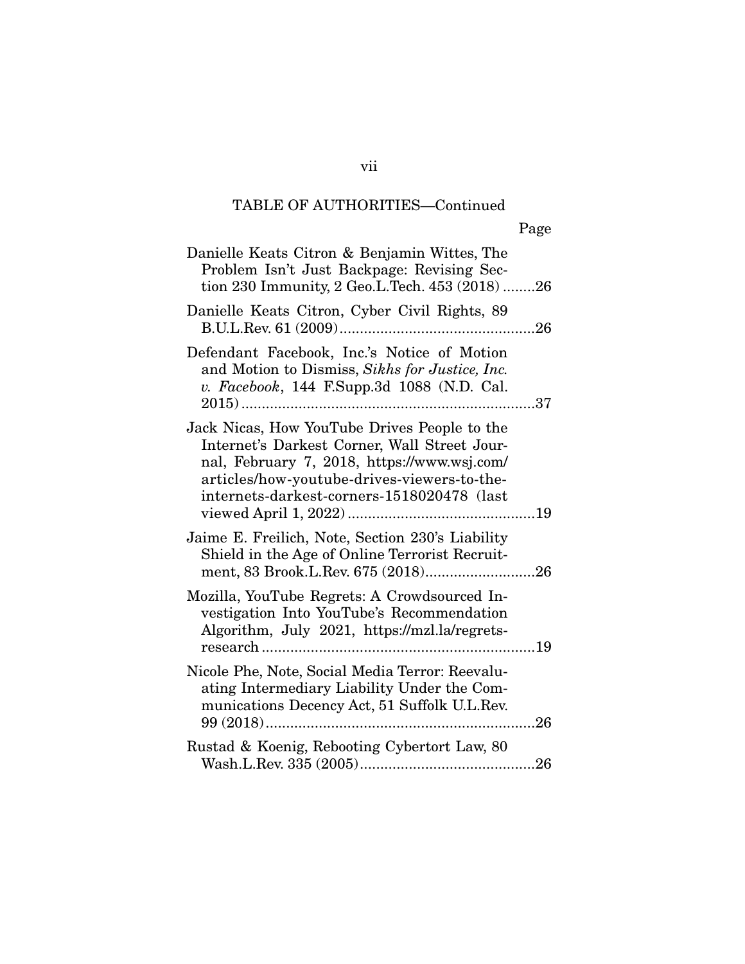# TABLE OF AUTHORITIES—Continued

| Danielle Keats Citron & Benjamin Wittes, The<br>Problem Isn't Just Backpage: Revising Sec-<br>tion 230 Immunity, 2 Geo.L.Tech. 453 (2018) 26                                                                                             |
|------------------------------------------------------------------------------------------------------------------------------------------------------------------------------------------------------------------------------------------|
| Danielle Keats Citron, Cyber Civil Rights, 89                                                                                                                                                                                            |
| Defendant Facebook, Inc.'s Notice of Motion<br>and Motion to Dismiss, Sikhs for Justice, Inc.<br>v. Facebook, 144 F.Supp.3d 1088 (N.D. Cal.<br>37<br>$2015)$                                                                             |
| Jack Nicas, How YouTube Drives People to the<br>Internet's Darkest Corner, Wall Street Jour-<br>nal, February 7, 2018, https://www.wsj.com/<br>articles/how-youtube-drives-viewers-to-the-<br>internets-darkest-corners-1518020478 (last |
| Jaime E. Freilich, Note, Section 230's Liability<br>Shield in the Age of Online Terrorist Recruit-                                                                                                                                       |
| Mozilla, YouTube Regrets: A Crowdsourced In-<br>vestigation Into YouTube's Recommendation<br>Algorithm, July 2021, https://mzl.la/regrets-                                                                                               |
| Nicole Phe, Note, Social Media Terror: Reevalu-<br>ating Intermediary Liability Under the Com-<br>munications Decency Act, 51 Suffolk U.L.Rev.                                                                                           |
| Rustad & Koenig, Rebooting Cybertort Law, 80                                                                                                                                                                                             |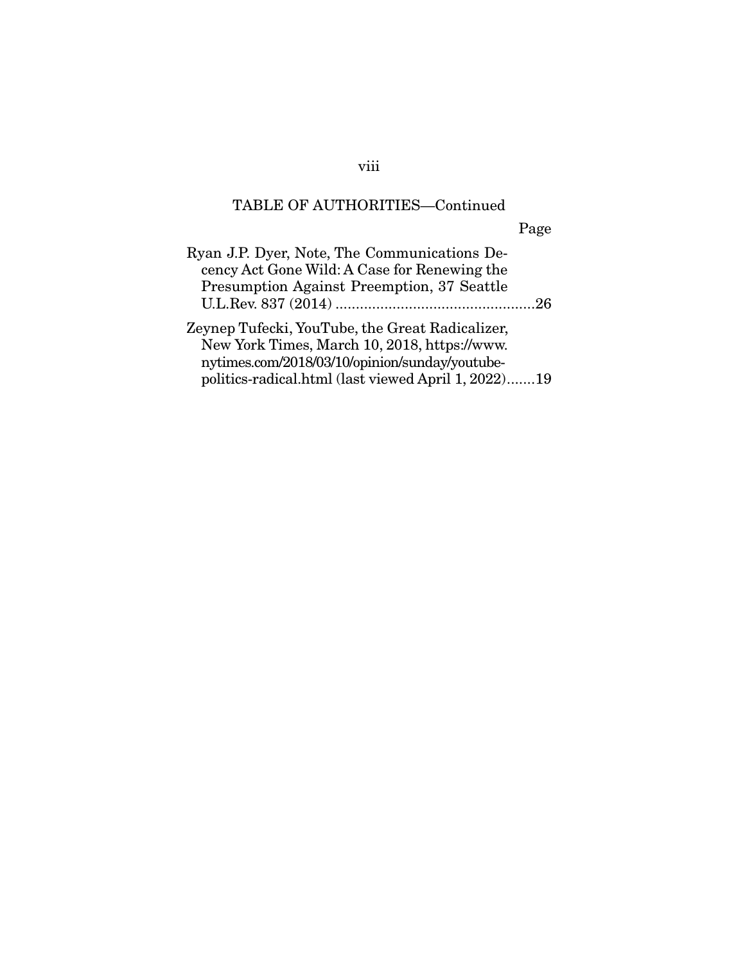# TABLE OF AUTHORITIES—Continued

Page

| Ryan J.P. Dyer, Note, The Communications De-        |  |
|-----------------------------------------------------|--|
| cency Act Gone Wild: A Case for Renewing the        |  |
| <b>Presumption Against Preemption, 37 Seattle</b>   |  |
|                                                     |  |
| Zeynep Tufecki, YouTube, the Great Radicalizer,     |  |
| New York Times, March 10, 2018, https://www.        |  |
| nytimes.com/2018/03/10/opinion/sunday/youtube-      |  |
| politics-radical.html (last viewed April 1, 2022)19 |  |

viii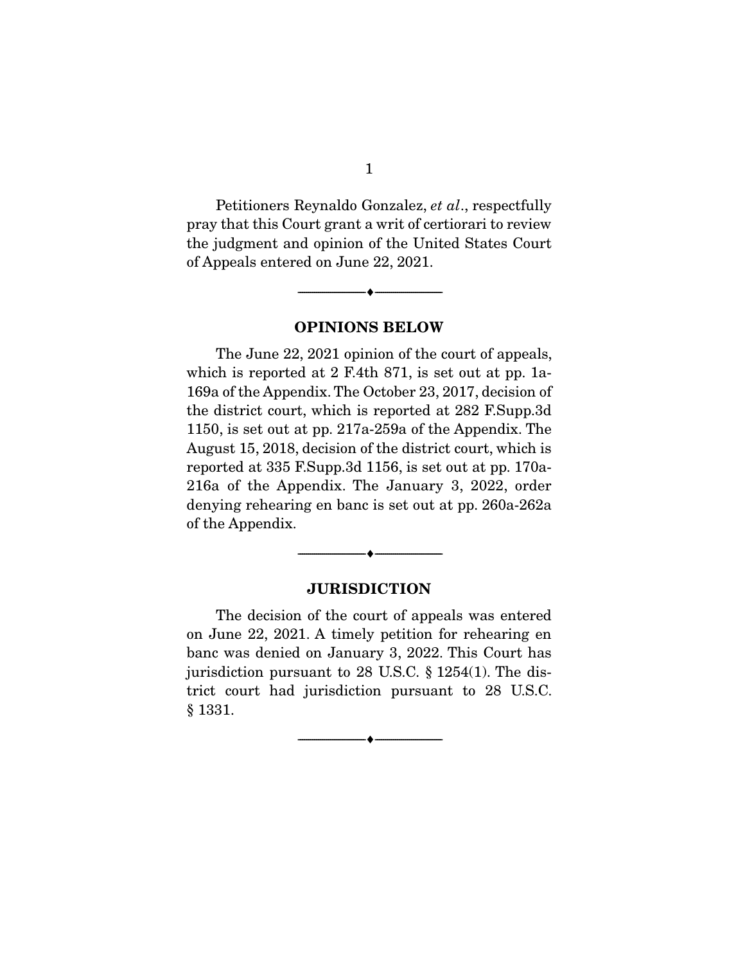Petitioners Reynaldo Gonzalez, *et al*., respectfully pray that this Court grant a writ of certiorari to review the judgment and opinion of the United States Court of Appeals entered on June 22, 2021.

**OPINIONS BELOW** 

--------------------------------- ♦ ---------------------------------

 The June 22, 2021 opinion of the court of appeals, which is reported at 2 F.4th 871, is set out at pp. 1a-169a of the Appendix. The October 23, 2017, decision of the district court, which is reported at 282 F.Supp.3d 1150, is set out at pp. 217a-259a of the Appendix. The August 15, 2018, decision of the district court, which is reported at 335 F.Supp.3d 1156, is set out at pp. 170a-216a of the Appendix. The January 3, 2022, order denying rehearing en banc is set out at pp. 260a-262a of the Appendix.

#### **JURISDICTION**

--------------------------------- ♦ ---------------------------------

 The decision of the court of appeals was entered on June 22, 2021. A timely petition for rehearing en banc was denied on January 3, 2022. This Court has jurisdiction pursuant to 28 U.S.C. § 1254(1). The district court had jurisdiction pursuant to 28 U.S.C. § 1331.

 $\overbrace{\hspace{2.5cm}}^{\bullet}$   $\overbrace{\hspace{2.5cm}}^{\bullet}$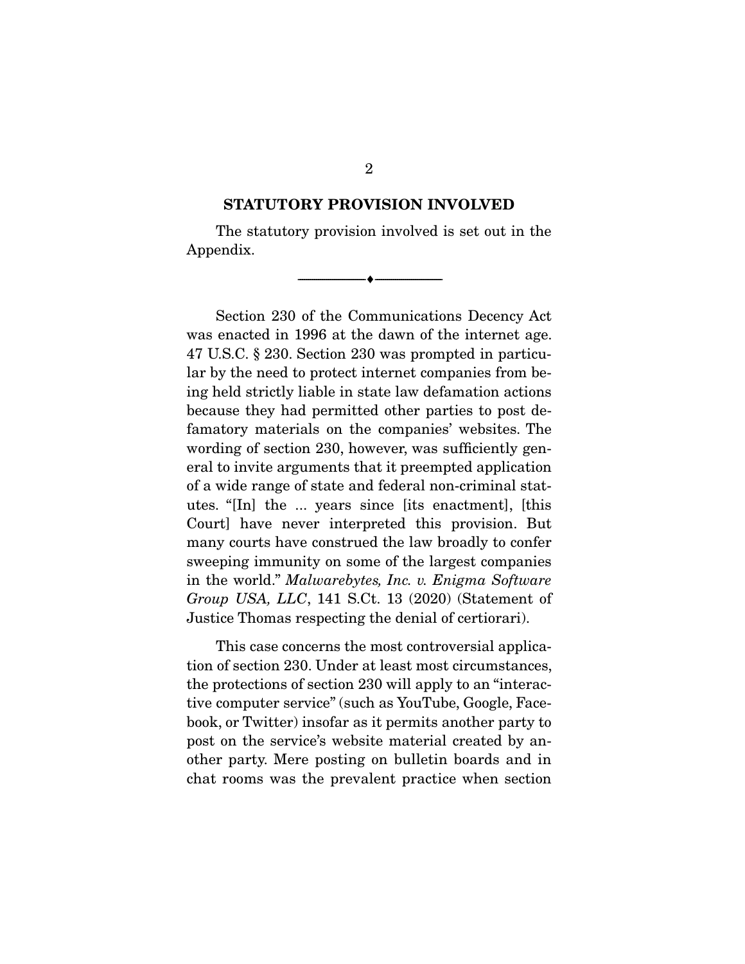#### **STATUTORY PROVISION INVOLVED**

 The statutory provision involved is set out in the Appendix.

--------------------------------- ♦ ---------------------------------

 Section 230 of the Communications Decency Act was enacted in 1996 at the dawn of the internet age. 47 U.S.C. § 230. Section 230 was prompted in particular by the need to protect internet companies from being held strictly liable in state law defamation actions because they had permitted other parties to post defamatory materials on the companies' websites. The wording of section 230, however, was sufficiently general to invite arguments that it preempted application of a wide range of state and federal non-criminal statutes. "[In] the ... years since [its enactment], [this Court] have never interpreted this provision. But many courts have construed the law broadly to confer sweeping immunity on some of the largest companies in the world." *Malwarebytes, Inc. v. Enigma Software Group USA, LLC*, 141 S.Ct. 13 (2020) (Statement of Justice Thomas respecting the denial of certiorari).

 This case concerns the most controversial application of section 230. Under at least most circumstances, the protections of section 230 will apply to an "interactive computer service" (such as YouTube, Google, Facebook, or Twitter) insofar as it permits another party to post on the service's website material created by another party. Mere posting on bulletin boards and in chat rooms was the prevalent practice when section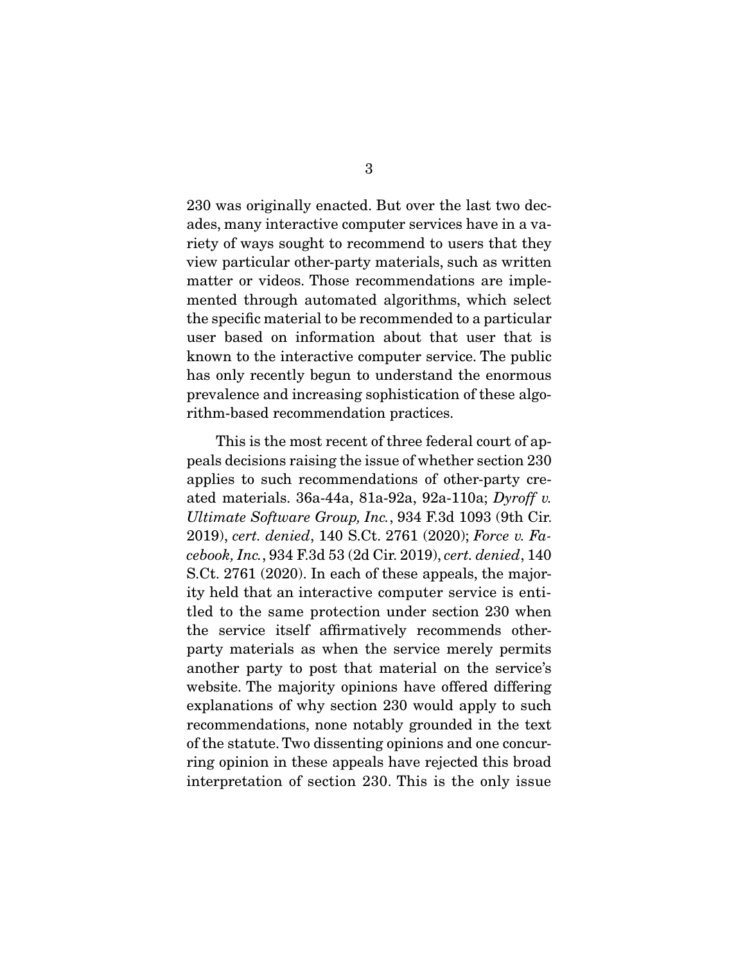230 was originally enacted. But over the last two decades, many interactive computer services have in a variety of ways sought to recommend to users that they view particular other-party materials, such as written matter or videos. Those recommendations are implemented through automated algorithms, which select the specific material to be recommended to a particular user based on information about that user that is known to the interactive computer service. The public has only recently begun to understand the enormous prevalence and increasing sophistication of these algorithm-based recommendation practices.

 This is the most recent of three federal court of appeals decisions raising the issue of whether section 230 applies to such recommendations of other-party created materials. 36a-44a, 81a-92a, 92a-110a; *Dyroff v. Ultimate Software Group, Inc.*, 934 F.3d 1093 (9th Cir. 2019), *cert. denied*, 140 S.Ct. 2761 (2020); *Force v. Facebook, Inc.*, 934 F.3d 53 (2d Cir. 2019), *cert. denied*, 140 S.Ct. 2761 (2020). In each of these appeals, the majority held that an interactive computer service is entitled to the same protection under section 230 when the service itself affirmatively recommends otherparty materials as when the service merely permits another party to post that material on the service's website. The majority opinions have offered differing explanations of why section 230 would apply to such recommendations, none notably grounded in the text of the statute. Two dissenting opinions and one concurring opinion in these appeals have rejected this broad interpretation of section 230. This is the only issue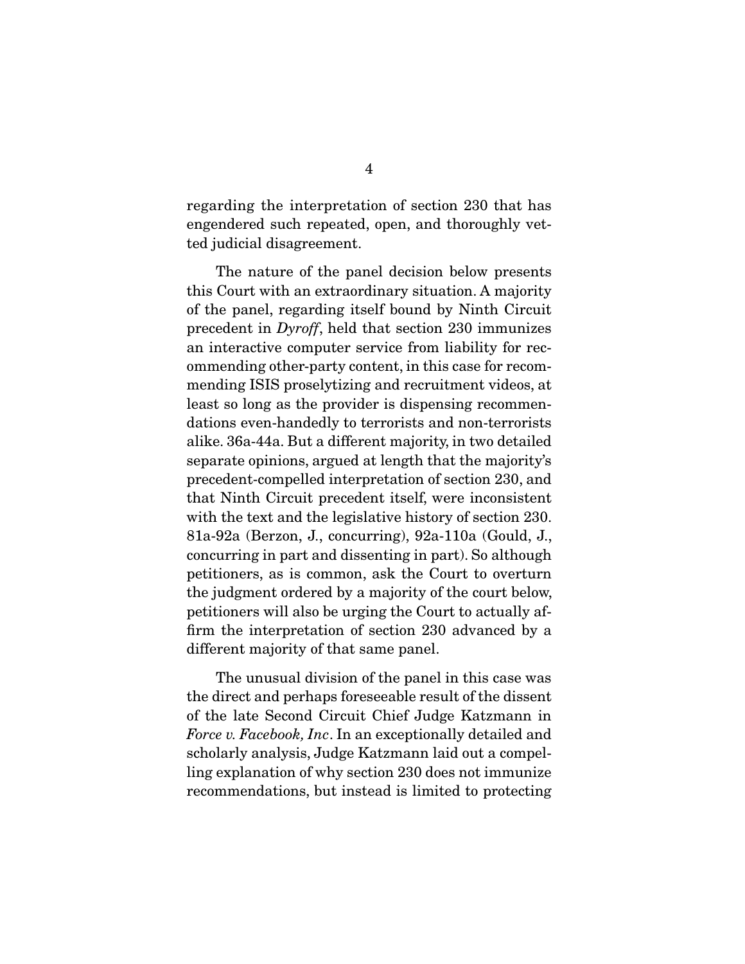regarding the interpretation of section 230 that has engendered such repeated, open, and thoroughly vetted judicial disagreement.

 The nature of the panel decision below presents this Court with an extraordinary situation. A majority of the panel, regarding itself bound by Ninth Circuit precedent in *Dyroff*, held that section 230 immunizes an interactive computer service from liability for recommending other-party content, in this case for recommending ISIS proselytizing and recruitment videos, at least so long as the provider is dispensing recommendations even-handedly to terrorists and non-terrorists alike. 36a-44a. But a different majority, in two detailed separate opinions, argued at length that the majority's precedent-compelled interpretation of section 230, and that Ninth Circuit precedent itself, were inconsistent with the text and the legislative history of section 230. 81a-92a (Berzon, J., concurring), 92a-110a (Gould, J., concurring in part and dissenting in part). So although petitioners, as is common, ask the Court to overturn the judgment ordered by a majority of the court below, petitioners will also be urging the Court to actually affirm the interpretation of section 230 advanced by a different majority of that same panel.

 The unusual division of the panel in this case was the direct and perhaps foreseeable result of the dissent of the late Second Circuit Chief Judge Katzmann in *Force v. Facebook, Inc*. In an exceptionally detailed and scholarly analysis, Judge Katzmann laid out a compelling explanation of why section 230 does not immunize recommendations, but instead is limited to protecting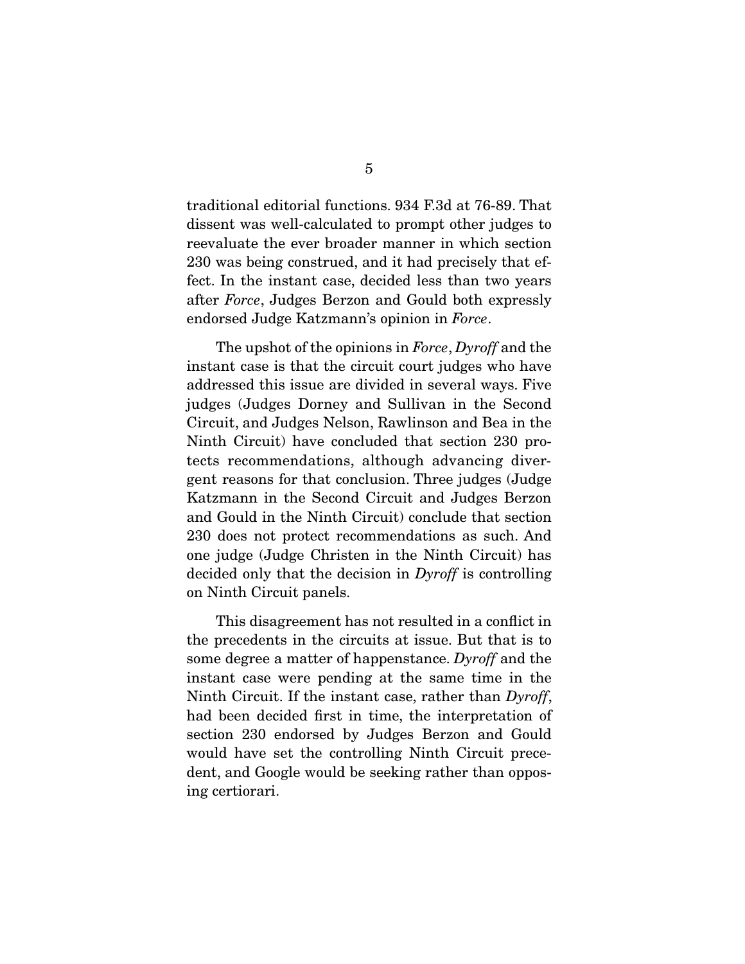traditional editorial functions. 934 F.3d at 76-89. That dissent was well-calculated to prompt other judges to reevaluate the ever broader manner in which section 230 was being construed, and it had precisely that effect. In the instant case, decided less than two years after *Force*, Judges Berzon and Gould both expressly endorsed Judge Katzmann's opinion in *Force*.

 The upshot of the opinions in *Force*, *Dyroff* and the instant case is that the circuit court judges who have addressed this issue are divided in several ways. Five judges (Judges Dorney and Sullivan in the Second Circuit, and Judges Nelson, Rawlinson and Bea in the Ninth Circuit) have concluded that section 230 protects recommendations, although advancing divergent reasons for that conclusion. Three judges (Judge Katzmann in the Second Circuit and Judges Berzon and Gould in the Ninth Circuit) conclude that section 230 does not protect recommendations as such. And one judge (Judge Christen in the Ninth Circuit) has decided only that the decision in *Dyroff* is controlling on Ninth Circuit panels.

 This disagreement has not resulted in a conflict in the precedents in the circuits at issue. But that is to some degree a matter of happenstance. *Dyroff* and the instant case were pending at the same time in the Ninth Circuit. If the instant case, rather than *Dyroff*, had been decided first in time, the interpretation of section 230 endorsed by Judges Berzon and Gould would have set the controlling Ninth Circuit precedent, and Google would be seeking rather than opposing certiorari.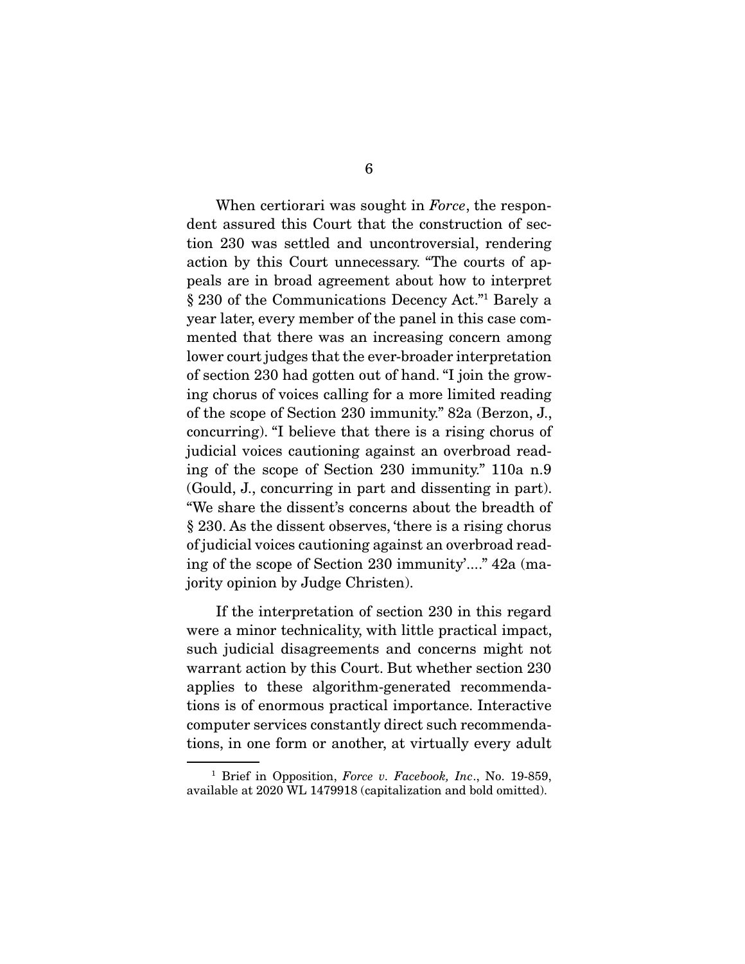When certiorari was sought in *Force*, the respondent assured this Court that the construction of section 230 was settled and uncontroversial, rendering action by this Court unnecessary. "The courts of appeals are in broad agreement about how to interpret § 230 of the Communications Decency Act."1 Barely a year later, every member of the panel in this case commented that there was an increasing concern among lower court judges that the ever-broader interpretation of section 230 had gotten out of hand. "I join the growing chorus of voices calling for a more limited reading of the scope of Section 230 immunity." 82a (Berzon, J., concurring). "I believe that there is a rising chorus of judicial voices cautioning against an overbroad reading of the scope of Section 230 immunity." 110a n.9 (Gould, J., concurring in part and dissenting in part). "We share the dissent's concerns about the breadth of § 230. As the dissent observes, 'there is a rising chorus of judicial voices cautioning against an overbroad reading of the scope of Section 230 immunity'...." 42a (majority opinion by Judge Christen).

 If the interpretation of section 230 in this regard were a minor technicality, with little practical impact, such judicial disagreements and concerns might not warrant action by this Court. But whether section 230 applies to these algorithm-generated recommendations is of enormous practical importance. Interactive computer services constantly direct such recommendations, in one form or another, at virtually every adult

<sup>1</sup> Brief in Opposition, *Force v. Facebook, Inc*., No. 19-859, available at 2020 WL 1479918 (capitalization and bold omitted).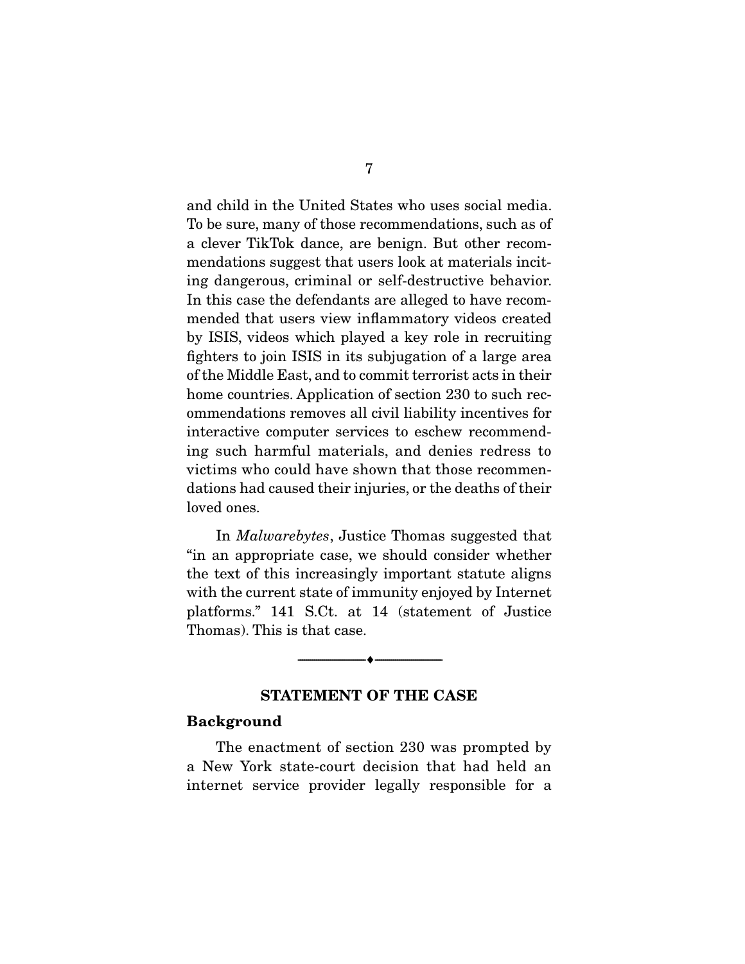and child in the United States who uses social media. To be sure, many of those recommendations, such as of a clever TikTok dance, are benign. But other recommendations suggest that users look at materials inciting dangerous, criminal or self-destructive behavior. In this case the defendants are alleged to have recommended that users view inflammatory videos created by ISIS, videos which played a key role in recruiting fighters to join ISIS in its subjugation of a large area of the Middle East, and to commit terrorist acts in their home countries. Application of section 230 to such recommendations removes all civil liability incentives for interactive computer services to eschew recommending such harmful materials, and denies redress to victims who could have shown that those recommendations had caused their injuries, or the deaths of their loved ones.

 In *Malwarebytes*, Justice Thomas suggested that "in an appropriate case, we should consider whether the text of this increasingly important statute aligns with the current state of immunity enjoyed by Internet platforms." 141 S.Ct. at 14 (statement of Justice Thomas). This is that case.

### **STATEMENT OF THE CASE**

 $\overbrace{\hspace{2.5cm}}^{\bullet}$   $\overbrace{\hspace{2.5cm}}^{\bullet}$ 

#### **Background**

 The enactment of section 230 was prompted by a New York state-court decision that had held an internet service provider legally responsible for a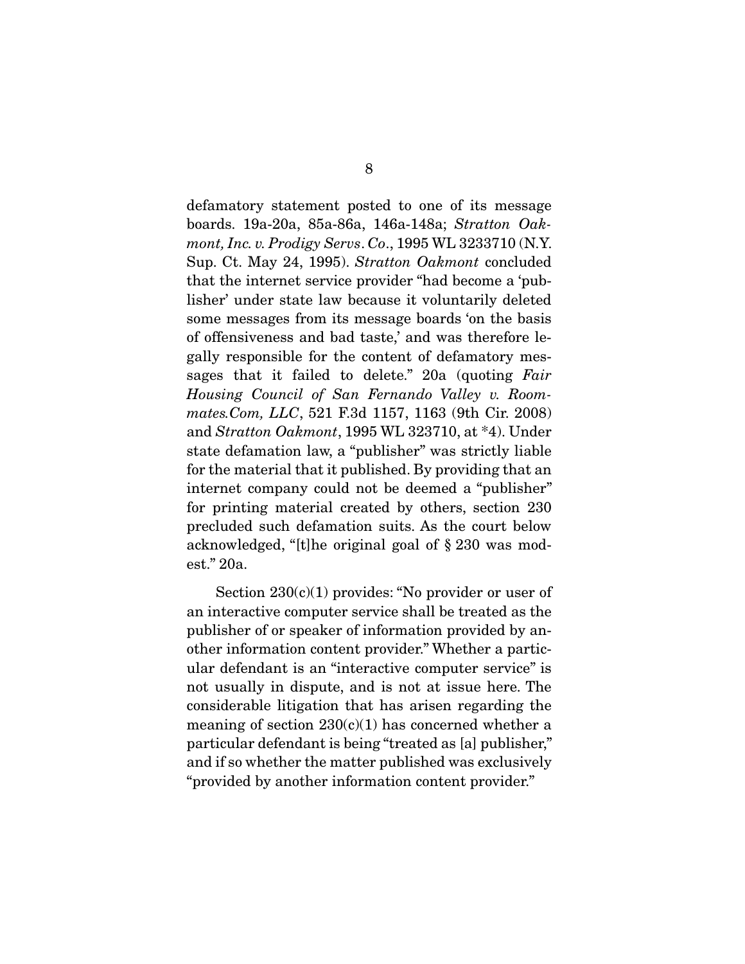defamatory statement posted to one of its message boards. 19a-20a, 85a-86a, 146a-148a; *Stratton Oakmont, Inc. v. Prodigy Servs*. *Co*., 1995 WL 3233710 (N.Y. Sup. Ct. May 24, 1995). *Stratton Oakmont* concluded that the internet service provider "had become a 'publisher' under state law because it voluntarily deleted some messages from its message boards 'on the basis of offensiveness and bad taste,' and was therefore legally responsible for the content of defamatory messages that it failed to delete." 20a (quoting *Fair Housing Council of San Fernando Valley v. Roommates.Com, LLC*, 521 F.3d 1157, 1163 (9th Cir. 2008) and *Stratton Oakmont*, 1995 WL 323710, at \*4). Under state defamation law, a "publisher" was strictly liable for the material that it published. By providing that an internet company could not be deemed a "publisher" for printing material created by others, section 230 precluded such defamation suits. As the court below acknowledged, "[t]he original goal of § 230 was modest." 20a.

Section  $230(c)(1)$  provides: "No provider or user of an interactive computer service shall be treated as the publisher of or speaker of information provided by another information content provider." Whether a particular defendant is an "interactive computer service" is not usually in dispute, and is not at issue here. The considerable litigation that has arisen regarding the meaning of section  $230(c)(1)$  has concerned whether a particular defendant is being "treated as [a] publisher," and if so whether the matter published was exclusively "provided by another information content provider."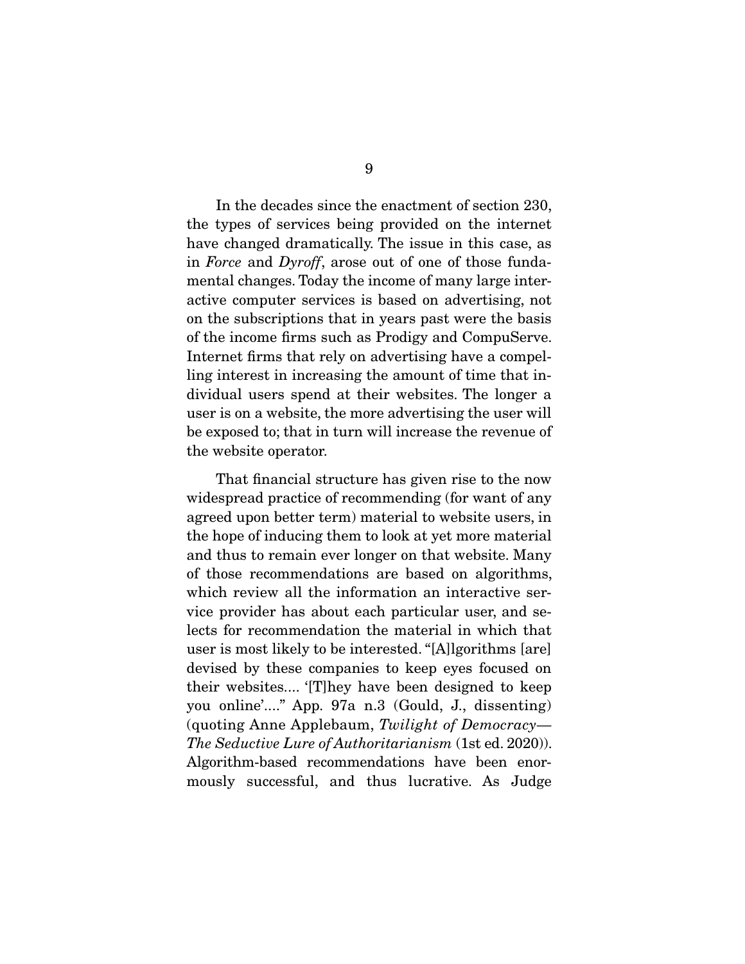In the decades since the enactment of section 230, the types of services being provided on the internet have changed dramatically. The issue in this case, as in *Force* and *Dyroff*, arose out of one of those fundamental changes. Today the income of many large interactive computer services is based on advertising, not on the subscriptions that in years past were the basis of the income firms such as Prodigy and CompuServe. Internet firms that rely on advertising have a compelling interest in increasing the amount of time that individual users spend at their websites. The longer a user is on a website, the more advertising the user will be exposed to; that in turn will increase the revenue of the website operator.

 That financial structure has given rise to the now widespread practice of recommending (for want of any agreed upon better term) material to website users, in the hope of inducing them to look at yet more material and thus to remain ever longer on that website. Many of those recommendations are based on algorithms, which review all the information an interactive service provider has about each particular user, and selects for recommendation the material in which that user is most likely to be interested. "[A]lgorithms [are] devised by these companies to keep eyes focused on their websites.... '[T]hey have been designed to keep you online'...." App. 97a n.3 (Gould, J., dissenting) (quoting Anne Applebaum, *Twilight of Democracy*— *The Seductive Lure of Authoritarianism* (1st ed. 2020)). Algorithm-based recommendations have been enormously successful, and thus lucrative. As Judge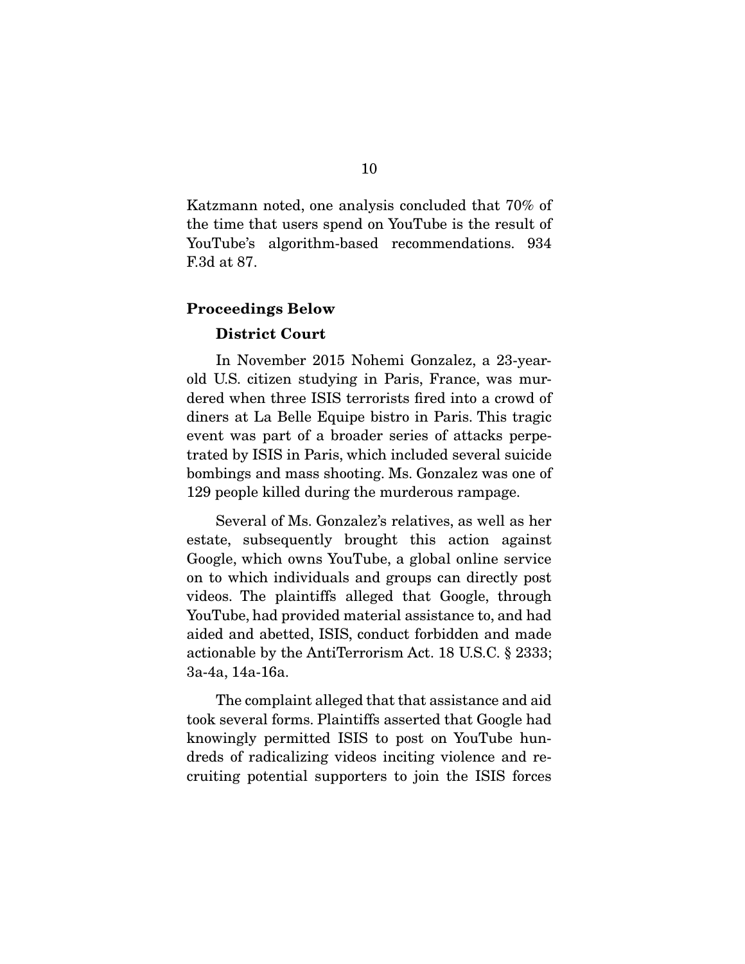Katzmann noted, one analysis concluded that 70% of the time that users spend on YouTube is the result of YouTube's algorithm-based recommendations. 934 F.3d at 87.

#### **Proceedings Below**

#### **District Court**

 In November 2015 Nohemi Gonzalez, a 23-yearold U.S. citizen studying in Paris, France, was murdered when three ISIS terrorists fired into a crowd of diners at La Belle Equipe bistro in Paris. This tragic event was part of a broader series of attacks perpetrated by ISIS in Paris, which included several suicide bombings and mass shooting. Ms. Gonzalez was one of 129 people killed during the murderous rampage.

 Several of Ms. Gonzalez's relatives, as well as her estate, subsequently brought this action against Google, which owns YouTube, a global online service on to which individuals and groups can directly post videos. The plaintiffs alleged that Google, through YouTube, had provided material assistance to, and had aided and abetted, ISIS, conduct forbidden and made actionable by the AntiTerrorism Act. 18 U.S.C. § 2333; 3a-4a, 14a-16a.

 The complaint alleged that that assistance and aid took several forms. Plaintiffs asserted that Google had knowingly permitted ISIS to post on YouTube hundreds of radicalizing videos inciting violence and recruiting potential supporters to join the ISIS forces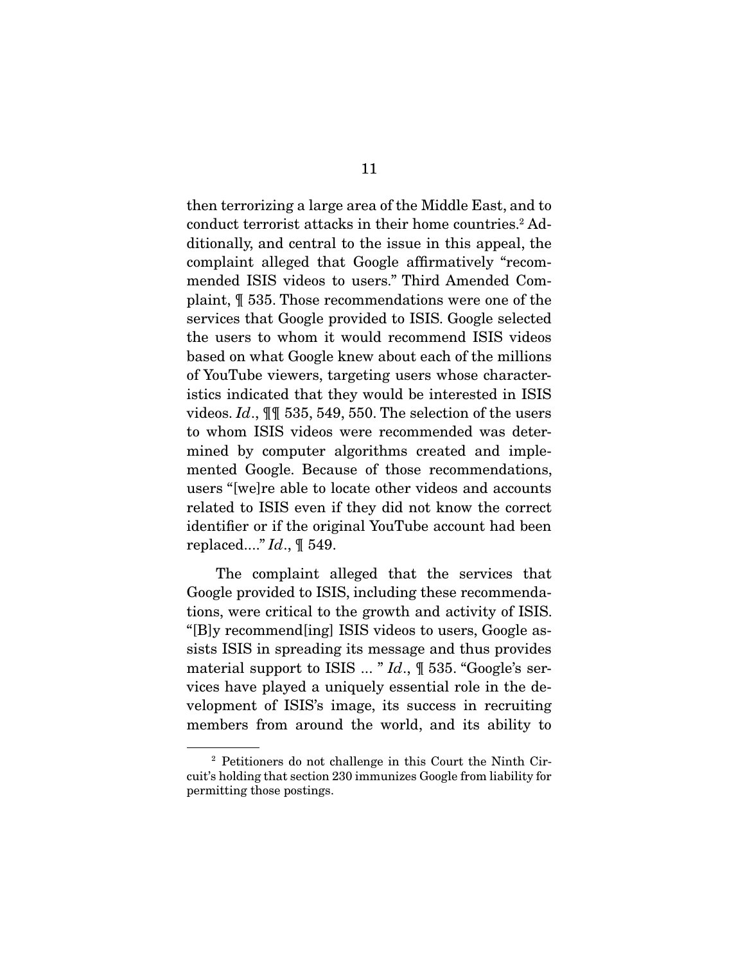then terrorizing a large area of the Middle East, and to conduct terrorist attacks in their home countries.<sup>2</sup> Additionally, and central to the issue in this appeal, the complaint alleged that Google affirmatively "recommended ISIS videos to users." Third Amended Complaint, ¶ 535. Those recommendations were one of the services that Google provided to ISIS. Google selected the users to whom it would recommend ISIS videos based on what Google knew about each of the millions of YouTube viewers, targeting users whose characteristics indicated that they would be interested in ISIS videos. *Id*., ¶¶ 535, 549, 550. The selection of the users to whom ISIS videos were recommended was determined by computer algorithms created and implemented Google. Because of those recommendations, users "[we]re able to locate other videos and accounts related to ISIS even if they did not know the correct identifier or if the original YouTube account had been replaced...." *Id*., ¶ 549.

 The complaint alleged that the services that Google provided to ISIS, including these recommendations, were critical to the growth and activity of ISIS. "[B]y recommend[ing] ISIS videos to users, Google assists ISIS in spreading its message and thus provides material support to ISIS ... " *Id*., ¶ 535. "Google's services have played a uniquely essential role in the development of ISIS's image, its success in recruiting members from around the world, and its ability to

<sup>2</sup> Petitioners do not challenge in this Court the Ninth Circuit's holding that section 230 immunizes Google from liability for permitting those postings.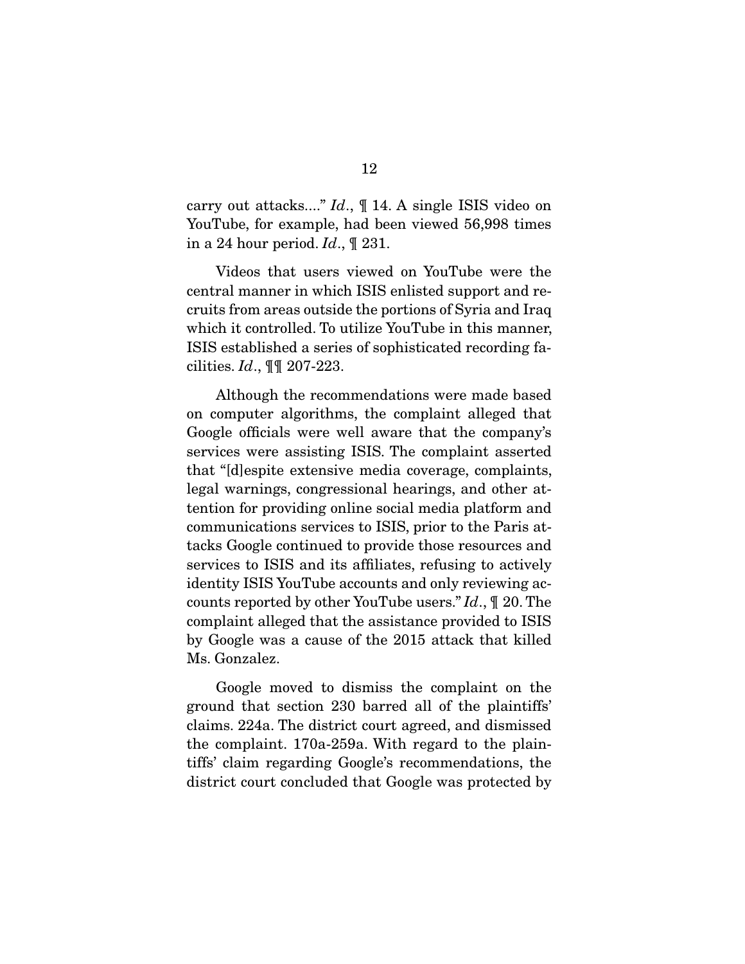carry out attacks...." *Id*., ¶ 14. A single ISIS video on YouTube, for example, had been viewed 56,998 times in a 24 hour period. *Id*., ¶ 231.

 Videos that users viewed on YouTube were the central manner in which ISIS enlisted support and recruits from areas outside the portions of Syria and Iraq which it controlled. To utilize YouTube in this manner, ISIS established a series of sophisticated recording facilities. *Id*., ¶¶ 207-223.

 Although the recommendations were made based on computer algorithms, the complaint alleged that Google officials were well aware that the company's services were assisting ISIS. The complaint asserted that "[d]espite extensive media coverage, complaints, legal warnings, congressional hearings, and other attention for providing online social media platform and communications services to ISIS, prior to the Paris attacks Google continued to provide those resources and services to ISIS and its affiliates, refusing to actively identity ISIS YouTube accounts and only reviewing accounts reported by other YouTube users." *Id*., ¶ 20. The complaint alleged that the assistance provided to ISIS by Google was a cause of the 2015 attack that killed Ms. Gonzalez.

 Google moved to dismiss the complaint on the ground that section 230 barred all of the plaintiffs' claims. 224a. The district court agreed, and dismissed the complaint. 170a-259a. With regard to the plaintiffs' claim regarding Google's recommendations, the district court concluded that Google was protected by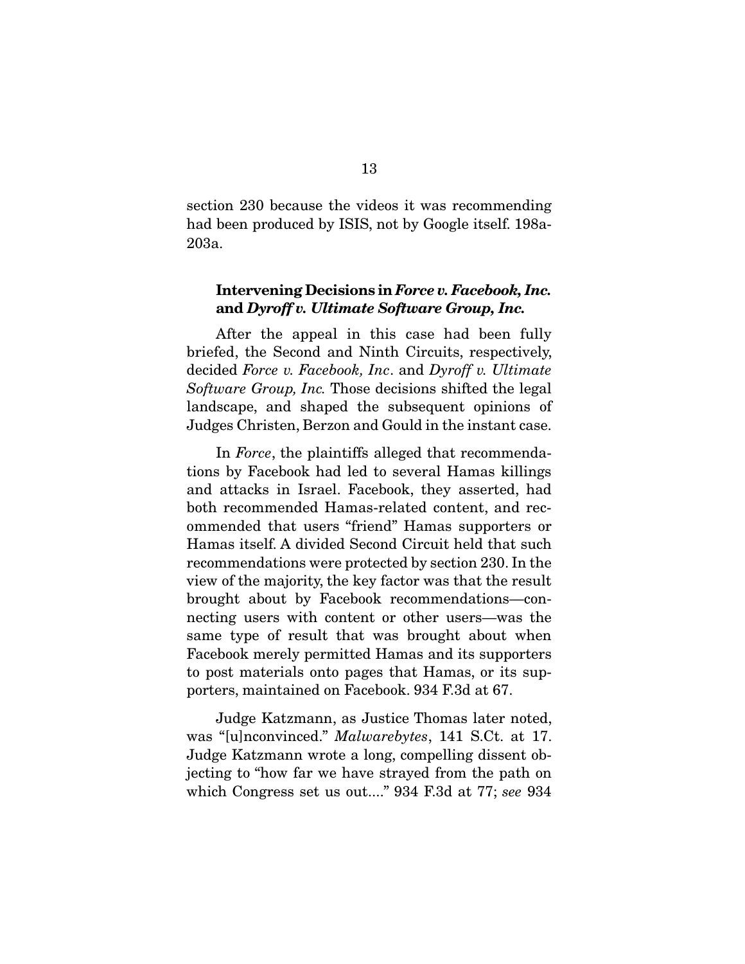section 230 because the videos it was recommending had been produced by ISIS, not by Google itself. 198a-203a.

### **Intervening Decisions in** *Force v. Facebook, Inc.* **and** *Dyroff v. Ultimate Software Group, Inc.*

 After the appeal in this case had been fully briefed, the Second and Ninth Circuits, respectively, decided *Force v. Facebook, Inc*. and *Dyroff v. Ultimate Software Group, Inc.* Those decisions shifted the legal landscape, and shaped the subsequent opinions of Judges Christen, Berzon and Gould in the instant case.

 In *Force*, the plaintiffs alleged that recommendations by Facebook had led to several Hamas killings and attacks in Israel. Facebook, they asserted, had both recommended Hamas-related content, and recommended that users "friend" Hamas supporters or Hamas itself. A divided Second Circuit held that such recommendations were protected by section 230. In the view of the majority, the key factor was that the result brought about by Facebook recommendations—connecting users with content or other users—was the same type of result that was brought about when Facebook merely permitted Hamas and its supporters to post materials onto pages that Hamas, or its supporters, maintained on Facebook. 934 F.3d at 67.

 Judge Katzmann, as Justice Thomas later noted, was "[u]nconvinced." *Malwarebytes*, 141 S.Ct. at 17. Judge Katzmann wrote a long, compelling dissent objecting to "how far we have strayed from the path on which Congress set us out...." 934 F.3d at 77; *see* 934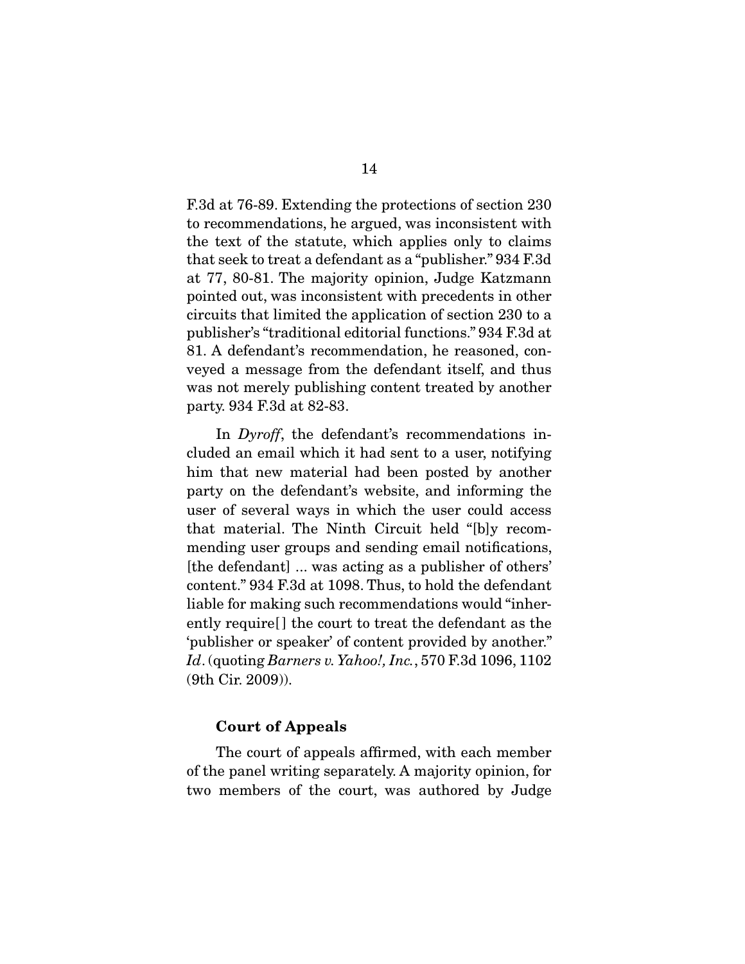F.3d at 76-89. Extending the protections of section 230 to recommendations, he argued, was inconsistent with the text of the statute, which applies only to claims that seek to treat a defendant as a "publisher." 934 F.3d at 77, 80-81. The majority opinion, Judge Katzmann pointed out, was inconsistent with precedents in other circuits that limited the application of section 230 to a publisher's "traditional editorial functions." 934 F.3d at 81. A defendant's recommendation, he reasoned, conveyed a message from the defendant itself, and thus was not merely publishing content treated by another party. 934 F.3d at 82-83.

 In *Dyroff*, the defendant's recommendations included an email which it had sent to a user, notifying him that new material had been posted by another party on the defendant's website, and informing the user of several ways in which the user could access that material. The Ninth Circuit held "[b]y recommending user groups and sending email notifications, [the defendant] ... was acting as a publisher of others' content." 934 F.3d at 1098. Thus, to hold the defendant liable for making such recommendations would "inherently require[ ] the court to treat the defendant as the 'publisher or speaker' of content provided by another." *Id*. (quoting *Barners v. Yahoo!, Inc.*, 570 F.3d 1096, 1102 (9th Cir. 2009)).

#### **Court of Appeals**

 The court of appeals affirmed, with each member of the panel writing separately. A majority opinion, for two members of the court, was authored by Judge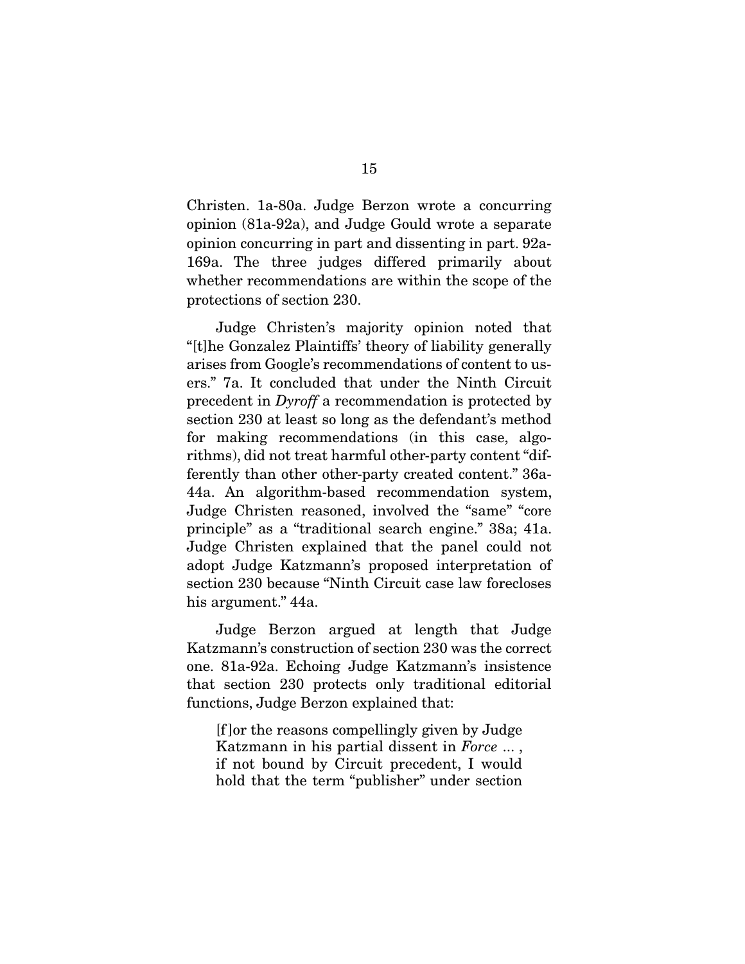Christen. 1a-80a. Judge Berzon wrote a concurring opinion (81a-92a), and Judge Gould wrote a separate opinion concurring in part and dissenting in part. 92a-169a. The three judges differed primarily about whether recommendations are within the scope of the protections of section 230.

 Judge Christen's majority opinion noted that "[t]he Gonzalez Plaintiffs' theory of liability generally arises from Google's recommendations of content to users." 7a. It concluded that under the Ninth Circuit precedent in *Dyroff* a recommendation is protected by section 230 at least so long as the defendant's method for making recommendations (in this case, algorithms), did not treat harmful other-party content "differently than other other-party created content." 36a-44a. An algorithm-based recommendation system, Judge Christen reasoned, involved the "same" "core principle" as a "traditional search engine." 38a; 41a. Judge Christen explained that the panel could not adopt Judge Katzmann's proposed interpretation of section 230 because "Ninth Circuit case law forecloses his argument." 44a.

 Judge Berzon argued at length that Judge Katzmann's construction of section 230 was the correct one. 81a-92a. Echoing Judge Katzmann's insistence that section 230 protects only traditional editorial functions, Judge Berzon explained that:

[f ]or the reasons compellingly given by Judge Katzmann in his partial dissent in *Force* ... , if not bound by Circuit precedent, I would hold that the term "publisher" under section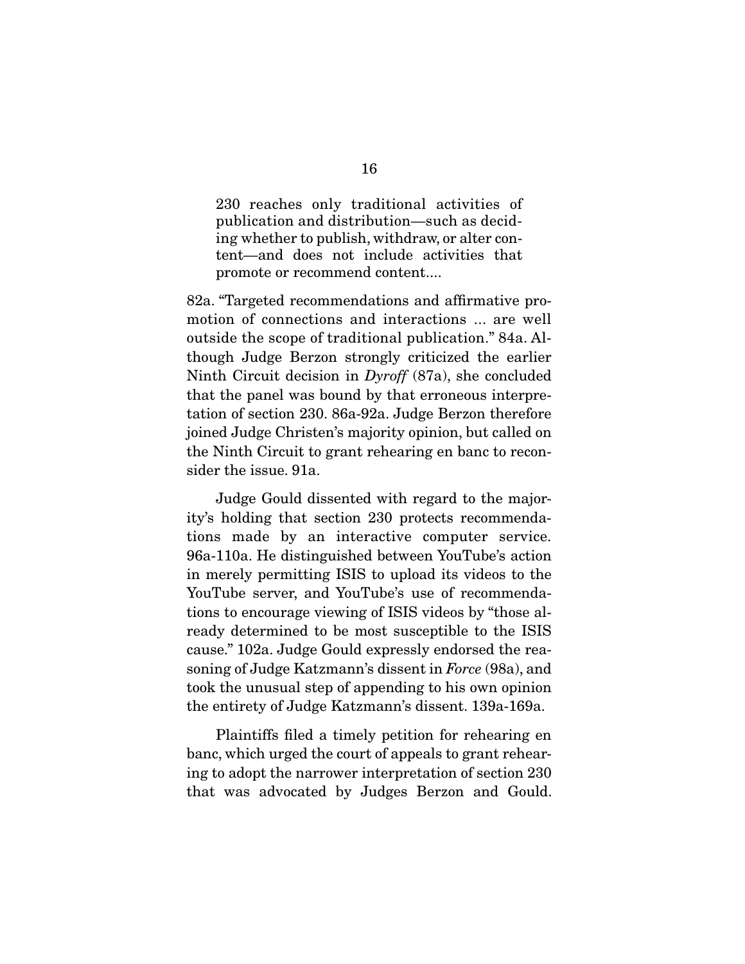230 reaches only traditional activities of publication and distribution—such as deciding whether to publish, withdraw, or alter content—and does not include activities that promote or recommend content....

82a. "Targeted recommendations and affirmative promotion of connections and interactions ... are well outside the scope of traditional publication." 84a. Although Judge Berzon strongly criticized the earlier Ninth Circuit decision in *Dyroff* (87a), she concluded that the panel was bound by that erroneous interpretation of section 230. 86a-92a. Judge Berzon therefore joined Judge Christen's majority opinion, but called on the Ninth Circuit to grant rehearing en banc to reconsider the issue. 91a.

 Judge Gould dissented with regard to the majority's holding that section 230 protects recommendations made by an interactive computer service. 96a-110a. He distinguished between YouTube's action in merely permitting ISIS to upload its videos to the YouTube server, and YouTube's use of recommendations to encourage viewing of ISIS videos by "those already determined to be most susceptible to the ISIS cause." 102a. Judge Gould expressly endorsed the reasoning of Judge Katzmann's dissent in *Force* (98a), and took the unusual step of appending to his own opinion the entirety of Judge Katzmann's dissent. 139a-169a.

 Plaintiffs filed a timely petition for rehearing en banc, which urged the court of appeals to grant rehearing to adopt the narrower interpretation of section 230 that was advocated by Judges Berzon and Gould.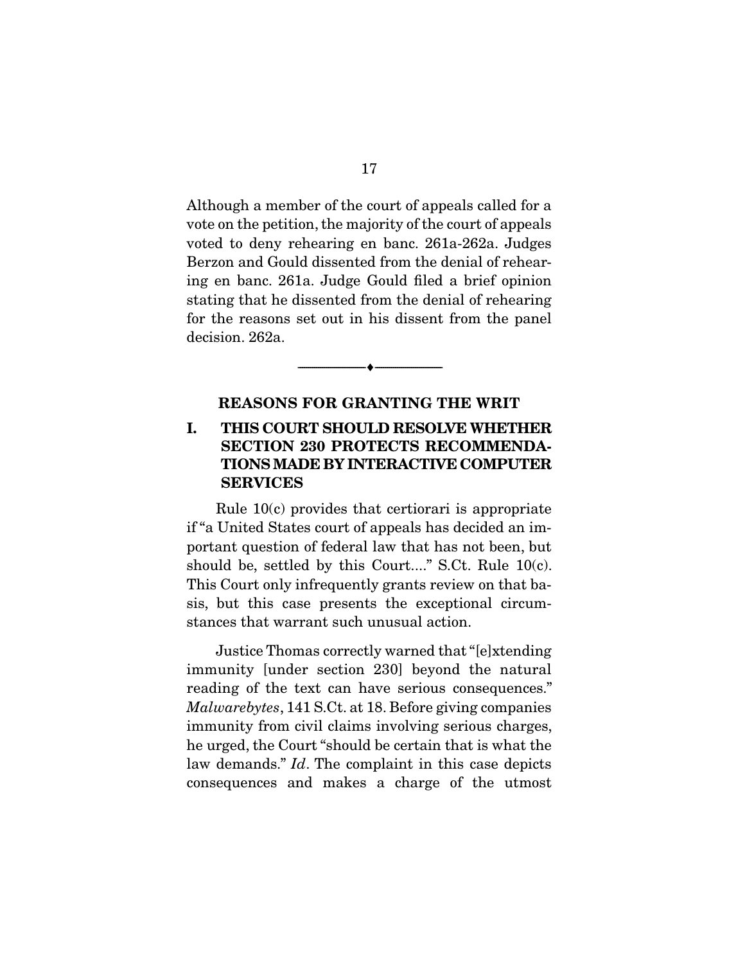Although a member of the court of appeals called for a vote on the petition, the majority of the court of appeals voted to deny rehearing en banc. 261a-262a. Judges Berzon and Gould dissented from the denial of rehearing en banc. 261a. Judge Gould filed a brief opinion stating that he dissented from the denial of rehearing for the reasons set out in his dissent from the panel decision. 262a.

#### **REASONS FOR GRANTING THE WRIT**

 $\overbrace{\hspace{2.5cm}}^{\bullet}$   $\overbrace{\hspace{2.5cm}}^{\bullet}$ 

### **I. THIS COURT SHOULD RESOLVE WHETHER SECTION 230 PROTECTS RECOMMENDA-TIONS MADE BY INTERACTIVE COMPUTER SERVICES**

 Rule 10(c) provides that certiorari is appropriate if "a United States court of appeals has decided an important question of federal law that has not been, but should be, settled by this Court...." S.Ct. Rule 10(c). This Court only infrequently grants review on that basis, but this case presents the exceptional circumstances that warrant such unusual action.

 Justice Thomas correctly warned that "[e]xtending immunity [under section 230] beyond the natural reading of the text can have serious consequences." *Malwarebytes*, 141 S.Ct. at 18. Before giving companies immunity from civil claims involving serious charges, he urged, the Court "should be certain that is what the law demands." *Id*. The complaint in this case depicts consequences and makes a charge of the utmost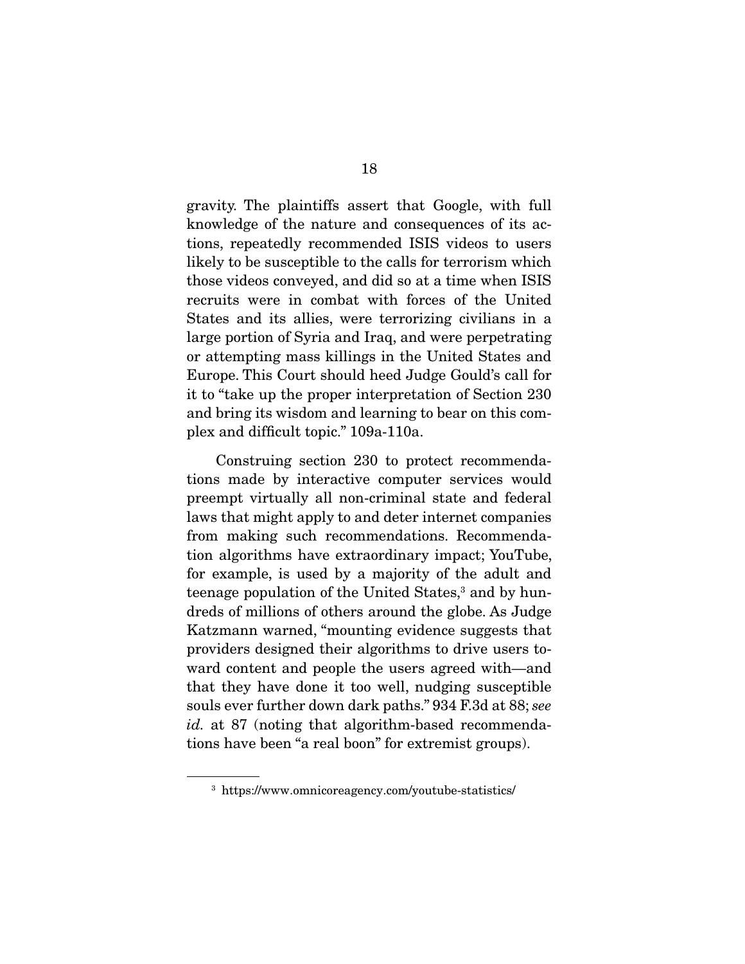gravity. The plaintiffs assert that Google, with full knowledge of the nature and consequences of its actions, repeatedly recommended ISIS videos to users likely to be susceptible to the calls for terrorism which those videos conveyed, and did so at a time when ISIS recruits were in combat with forces of the United States and its allies, were terrorizing civilians in a large portion of Syria and Iraq, and were perpetrating or attempting mass killings in the United States and Europe. This Court should heed Judge Gould's call for it to "take up the proper interpretation of Section 230 and bring its wisdom and learning to bear on this complex and difficult topic." 109a-110a.

 Construing section 230 to protect recommendations made by interactive computer services would preempt virtually all non-criminal state and federal laws that might apply to and deter internet companies from making such recommendations. Recommendation algorithms have extraordinary impact; YouTube, for example, is used by a majority of the adult and teenage population of the United States,<sup>3</sup> and by hundreds of millions of others around the globe. As Judge Katzmann warned, "mounting evidence suggests that providers designed their algorithms to drive users toward content and people the users agreed with—and that they have done it too well, nudging susceptible souls ever further down dark paths." 934 F.3d at 88; *see id.* at 87 (noting that algorithm-based recommendations have been "a real boon" for extremist groups).

<sup>3</sup> https://www.omnicoreagency.com/youtube-statistics/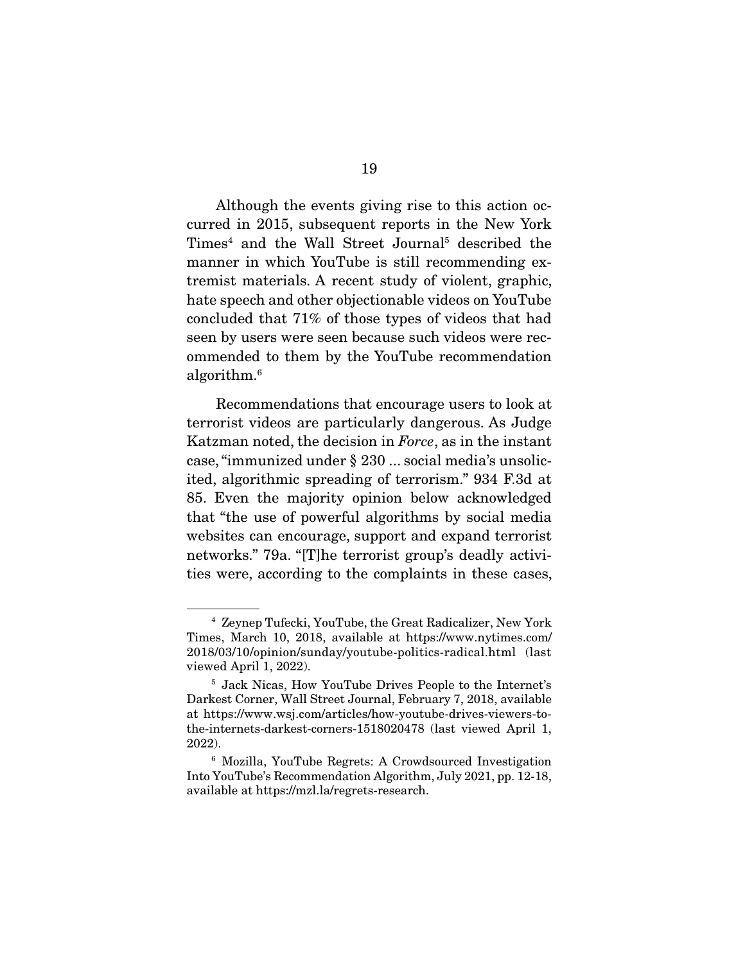Although the events giving rise to this action occurred in 2015, subsequent reports in the New York Times<sup>4</sup> and the Wall Street Journal<sup>5</sup> described the manner in which YouTube is still recommending extremist materials. A recent study of violent, graphic, hate speech and other objectionable videos on YouTube concluded that 71% of those types of videos that had seen by users were seen because such videos were recommended to them by the YouTube recommendation algorithm.6

 Recommendations that encourage users to look at terrorist videos are particularly dangerous. As Judge Katzman noted, the decision in *Force*, as in the instant case, "immunized under § 230 ... social media's unsolicited, algorithmic spreading of terrorism." 934 F.3d at 85. Even the majority opinion below acknowledged that "the use of powerful algorithms by social media websites can encourage, support and expand terrorist networks." 79a. "[T]he terrorist group's deadly activities were, according to the complaints in these cases,

<sup>4</sup> Zeynep Tufecki, YouTube, the Great Radicalizer, New York Times, March 10, 2018, available at https://www.nytimes.com/ 2018/03/10/opinion/sunday/youtube-politics-radical.html (last viewed April 1, 2022).

<sup>5</sup> Jack Nicas, How YouTube Drives People to the Internet's Darkest Corner, Wall Street Journal, February 7, 2018, available at https://www.wsj.com/articles/how-youtube-drives-viewers-tothe-internets-darkest-corners-1518020478 (last viewed April 1, 2022).

<sup>6</sup> Mozilla, YouTube Regrets: A Crowdsourced Investigation Into YouTube's Recommendation Algorithm, July 2021, pp. 12-18, available at https://mzl.la/regrets-research.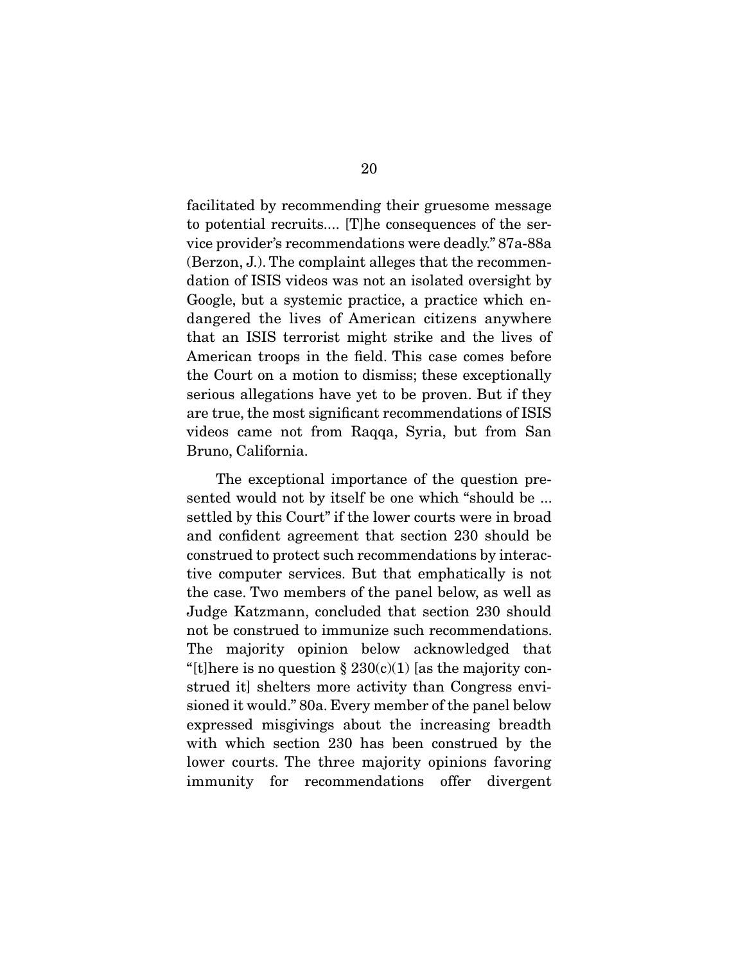facilitated by recommending their gruesome message to potential recruits.... [T]he consequences of the service provider's recommendations were deadly." 87a-88a (Berzon, J.). The complaint alleges that the recommendation of ISIS videos was not an isolated oversight by Google, but a systemic practice, a practice which endangered the lives of American citizens anywhere that an ISIS terrorist might strike and the lives of American troops in the field. This case comes before the Court on a motion to dismiss; these exceptionally serious allegations have yet to be proven. But if they are true, the most significant recommendations of ISIS videos came not from Raqqa, Syria, but from San Bruno, California.

 The exceptional importance of the question presented would not by itself be one which "should be ... settled by this Court" if the lower courts were in broad and confident agreement that section 230 should be construed to protect such recommendations by interactive computer services. But that emphatically is not the case. Two members of the panel below, as well as Judge Katzmann, concluded that section 230 should not be construed to immunize such recommendations. The majority opinion below acknowledged that "[t]here is no question  $\S 230(c)(1)$  [as the majority construed it] shelters more activity than Congress envisioned it would." 80a. Every member of the panel below expressed misgivings about the increasing breadth with which section 230 has been construed by the lower courts. The three majority opinions favoring immunity for recommendations offer divergent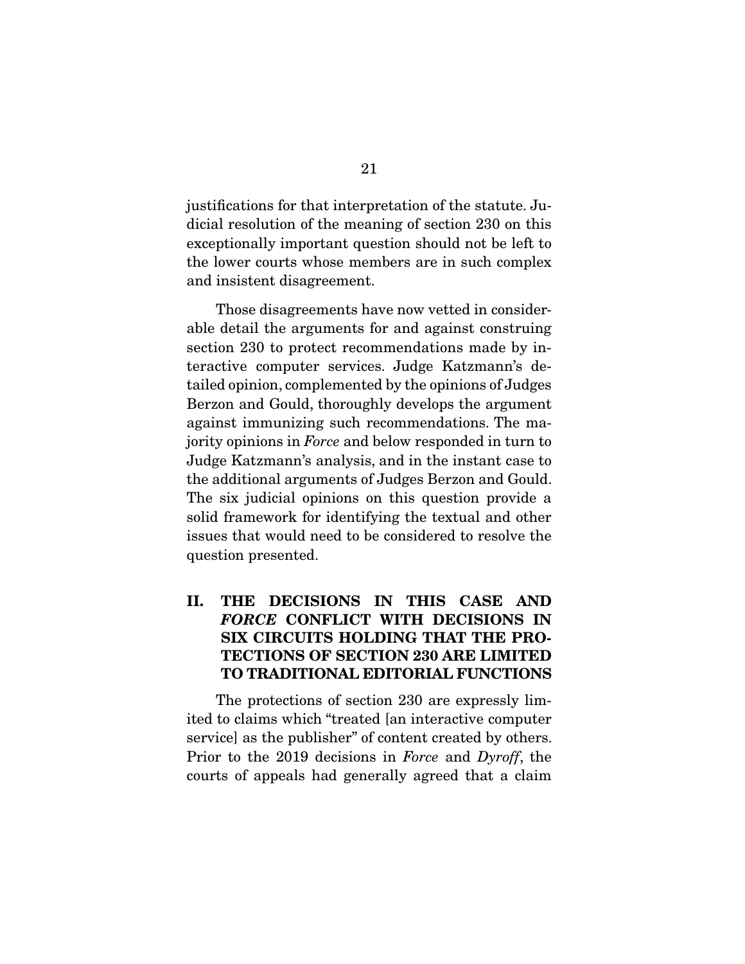justifications for that interpretation of the statute. Judicial resolution of the meaning of section 230 on this exceptionally important question should not be left to the lower courts whose members are in such complex and insistent disagreement.

 Those disagreements have now vetted in considerable detail the arguments for and against construing section 230 to protect recommendations made by interactive computer services. Judge Katzmann's detailed opinion, complemented by the opinions of Judges Berzon and Gould, thoroughly develops the argument against immunizing such recommendations. The majority opinions in *Force* and below responded in turn to Judge Katzmann's analysis, and in the instant case to the additional arguments of Judges Berzon and Gould. The six judicial opinions on this question provide a solid framework for identifying the textual and other issues that would need to be considered to resolve the question presented.

## **II. THE DECISIONS IN THIS CASE AND**  *FORCE* **CONFLICT WITH DECISIONS IN SIX CIRCUITS HOLDING THAT THE PRO-TECTIONS OF SECTION 230 ARE LIMITED TO TRADITIONAL EDITORIAL FUNCTIONS**

 The protections of section 230 are expressly limited to claims which "treated [an interactive computer service] as the publisher" of content created by others. Prior to the 2019 decisions in *Force* and *Dyroff*, the courts of appeals had generally agreed that a claim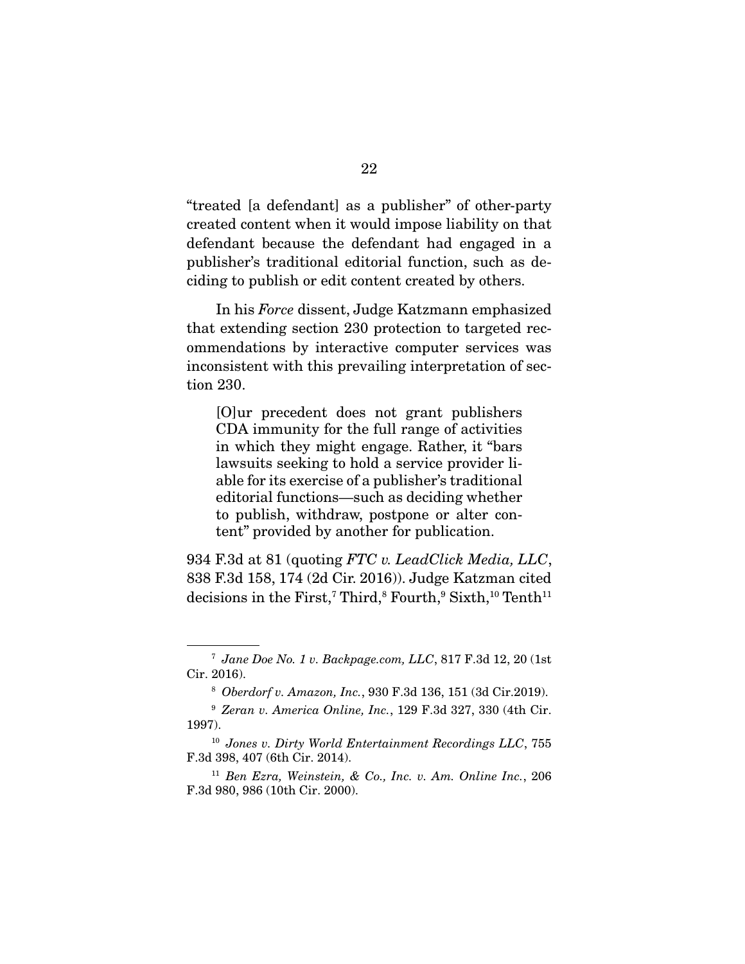"treated [a defendant] as a publisher" of other-party created content when it would impose liability on that defendant because the defendant had engaged in a publisher's traditional editorial function, such as deciding to publish or edit content created by others.

 In his *Force* dissent, Judge Katzmann emphasized that extending section 230 protection to targeted recommendations by interactive computer services was inconsistent with this prevailing interpretation of section 230.

[O]ur precedent does not grant publishers CDA immunity for the full range of activities in which they might engage. Rather, it "bars lawsuits seeking to hold a service provider liable for its exercise of a publisher's traditional editorial functions—such as deciding whether to publish, withdraw, postpone or alter content" provided by another for publication.

934 F.3d at 81 (quoting *FTC v. LeadClick Media, LLC*, 838 F.3d 158, 174 (2d Cir. 2016)). Judge Katzman cited  $\rm{decisions~in~the~First,}$   $\rm{Third,}$   $\rm{Fourth,}$   $\rm{9~Sixth,}$   $\rm{10~Tenth^{11}}$ 

<sup>7</sup> *Jane Doe No. 1 v. Backpage.com, LLC*, 817 F.3d 12, 20 (1st Cir. 2016).

<sup>8</sup> *Oberdorf v. Amazon, Inc.*, 930 F.3d 136, 151 (3d Cir.2019).

<sup>9</sup> *Zeran v. America Online, Inc.*, 129 F.3d 327, 330 (4th Cir. 1997).

<sup>10</sup> *Jones v. Dirty World Entertainment Recordings LLC*, 755 F.3d 398, 407 (6th Cir. 2014).

<sup>11</sup> *Ben Ezra, Weinstein, & Co., Inc. v. Am. Online Inc.*, 206 F.3d 980, 986 (10th Cir. 2000).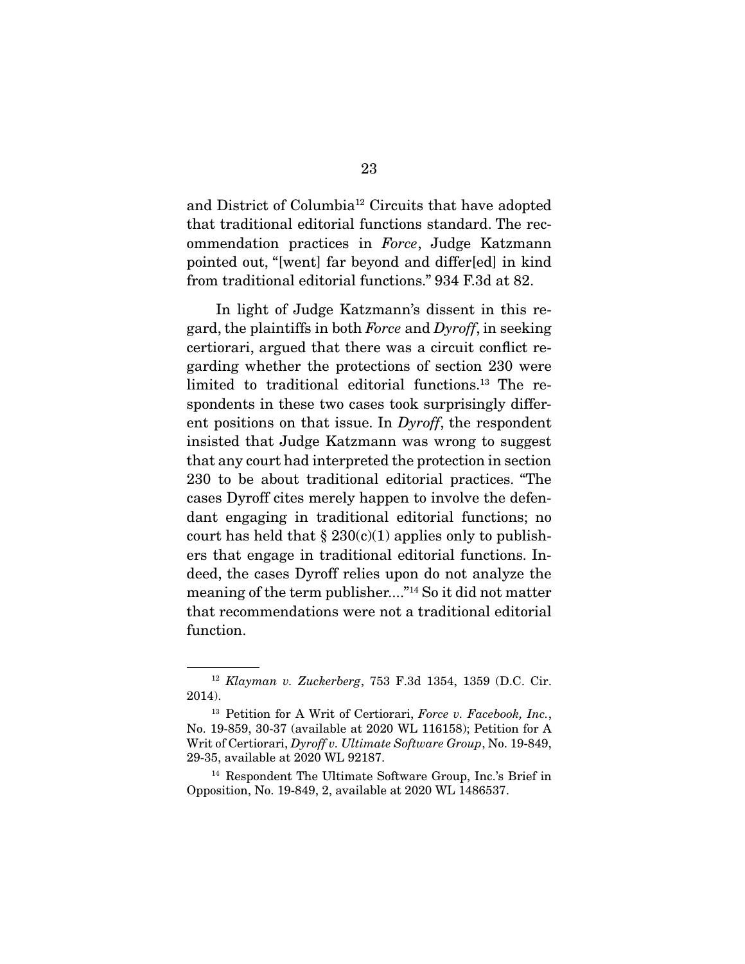and District of Columbia12 Circuits that have adopted that traditional editorial functions standard. The recommendation practices in *Force*, Judge Katzmann pointed out, "[went] far beyond and differ[ed] in kind from traditional editorial functions." 934 F.3d at 82.

 In light of Judge Katzmann's dissent in this regard, the plaintiffs in both *Force* and *Dyroff*, in seeking certiorari, argued that there was a circuit conflict regarding whether the protections of section 230 were limited to traditional editorial functions.13 The respondents in these two cases took surprisingly different positions on that issue. In *Dyroff*, the respondent insisted that Judge Katzmann was wrong to suggest that any court had interpreted the protection in section 230 to be about traditional editorial practices. "The cases Dyroff cites merely happen to involve the defendant engaging in traditional editorial functions; no court has held that  $\S 230(c)(1)$  applies only to publishers that engage in traditional editorial functions. Indeed, the cases Dyroff relies upon do not analyze the meaning of the term publisher...."14 So it did not matter that recommendations were not a traditional editorial function.

<sup>14</sup> Respondent The Ultimate Software Group, Inc.'s Brief in Opposition, No. 19-849, 2, available at 2020 WL 1486537.

<sup>12</sup> *Klayman v. Zuckerberg*, 753 F.3d 1354, 1359 (D.C. Cir. 2014).

<sup>13</sup> Petition for A Writ of Certiorari, *Force v. Facebook, Inc.*, No. 19-859, 30-37 (available at 2020 WL 116158); Petition for A Writ of Certiorari, *Dyroff v. Ultimate Software Group*, No. 19-849, 29-35, available at 2020 WL 92187.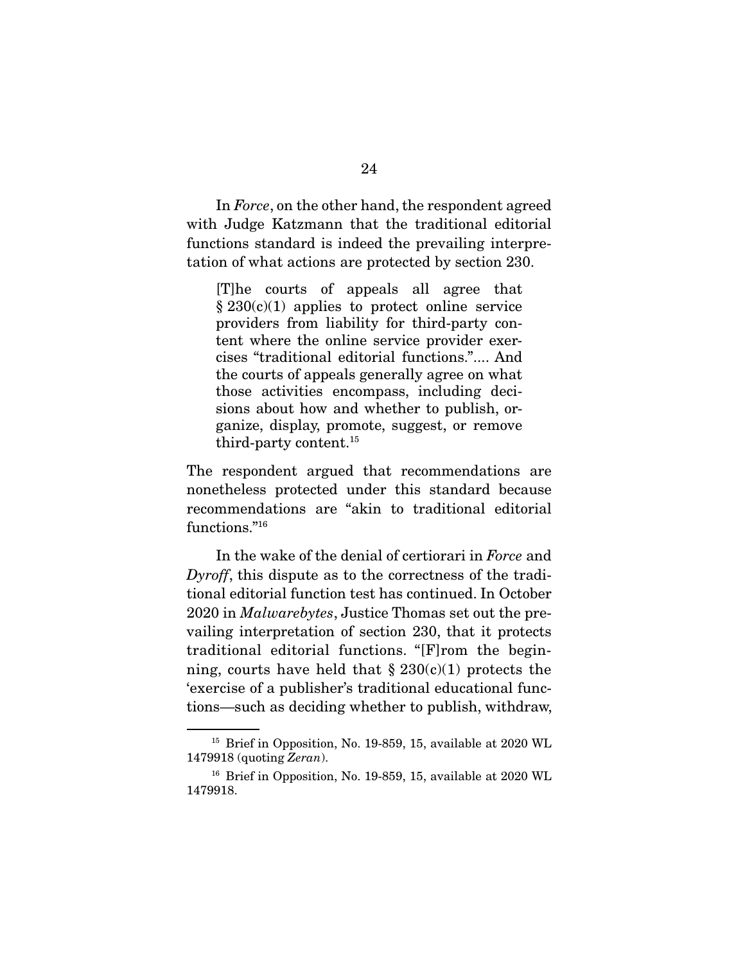In *Force*, on the other hand, the respondent agreed with Judge Katzmann that the traditional editorial functions standard is indeed the prevailing interpretation of what actions are protected by section 230.

[T]he courts of appeals all agree that  $§ 230(c)(1)$  applies to protect online service providers from liability for third-party content where the online service provider exercises "traditional editorial functions.".... And the courts of appeals generally agree on what those activities encompass, including decisions about how and whether to publish, organize, display, promote, suggest, or remove third-party content.15

The respondent argued that recommendations are nonetheless protected under this standard because recommendations are "akin to traditional editorial functions."<sup>16</sup>

 In the wake of the denial of certiorari in *Force* and *Dyroff*, this dispute as to the correctness of the traditional editorial function test has continued. In October 2020 in *Malwarebytes*, Justice Thomas set out the prevailing interpretation of section 230, that it protects traditional editorial functions. "[F]rom the beginning, courts have held that  $\S 230(c)(1)$  protects the 'exercise of a publisher's traditional educational functions—such as deciding whether to publish, withdraw,

<sup>&</sup>lt;sup>15</sup> Brief in Opposition, No. 19-859, 15, available at 2020 WL 1479918 (quoting *Zeran*).

<sup>&</sup>lt;sup>16</sup> Brief in Opposition, No. 19-859, 15, available at 2020 WL 1479918.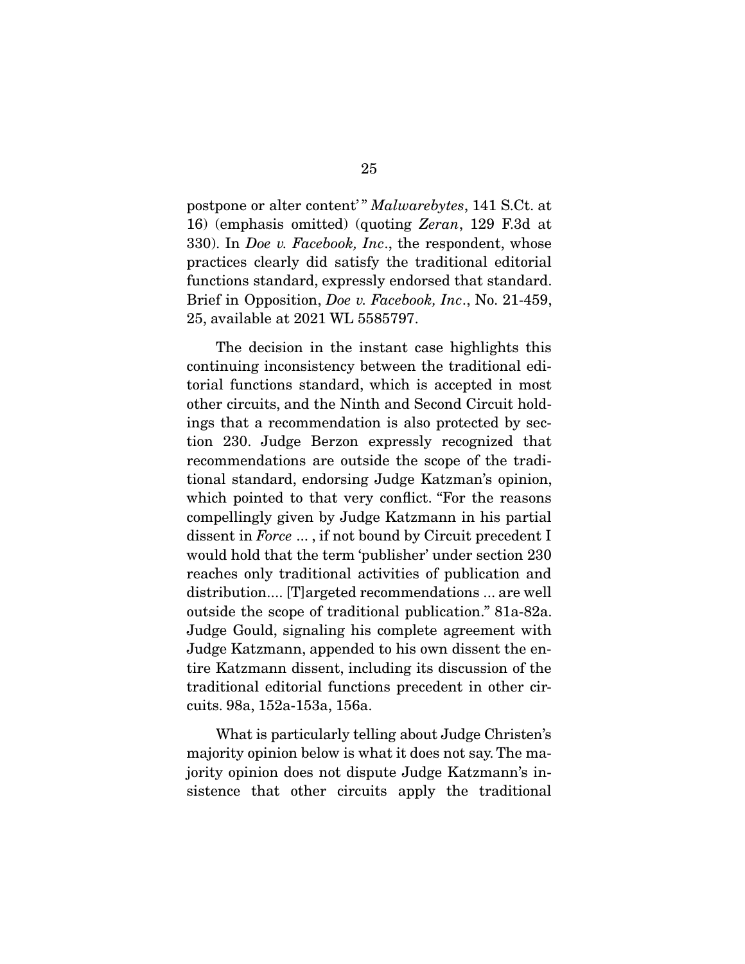postpone or alter content' " *Malwarebytes*, 141 S.Ct. at 16) (emphasis omitted) (quoting *Zeran*, 129 F.3d at 330). In *Doe v. Facebook, Inc*., the respondent, whose practices clearly did satisfy the traditional editorial functions standard, expressly endorsed that standard. Brief in Opposition, *Doe v. Facebook, Inc*., No. 21-459, 25, available at 2021 WL 5585797.

 The decision in the instant case highlights this continuing inconsistency between the traditional editorial functions standard, which is accepted in most other circuits, and the Ninth and Second Circuit holdings that a recommendation is also protected by section 230. Judge Berzon expressly recognized that recommendations are outside the scope of the traditional standard, endorsing Judge Katzman's opinion, which pointed to that very conflict. "For the reasons compellingly given by Judge Katzmann in his partial dissent in *Force* ... , if not bound by Circuit precedent I would hold that the term 'publisher' under section 230 reaches only traditional activities of publication and distribution.... [T]argeted recommendations ... are well outside the scope of traditional publication." 81a-82a. Judge Gould, signaling his complete agreement with Judge Katzmann, appended to his own dissent the entire Katzmann dissent, including its discussion of the traditional editorial functions precedent in other circuits. 98a, 152a-153a, 156a.

 What is particularly telling about Judge Christen's majority opinion below is what it does not say. The majority opinion does not dispute Judge Katzmann's insistence that other circuits apply the traditional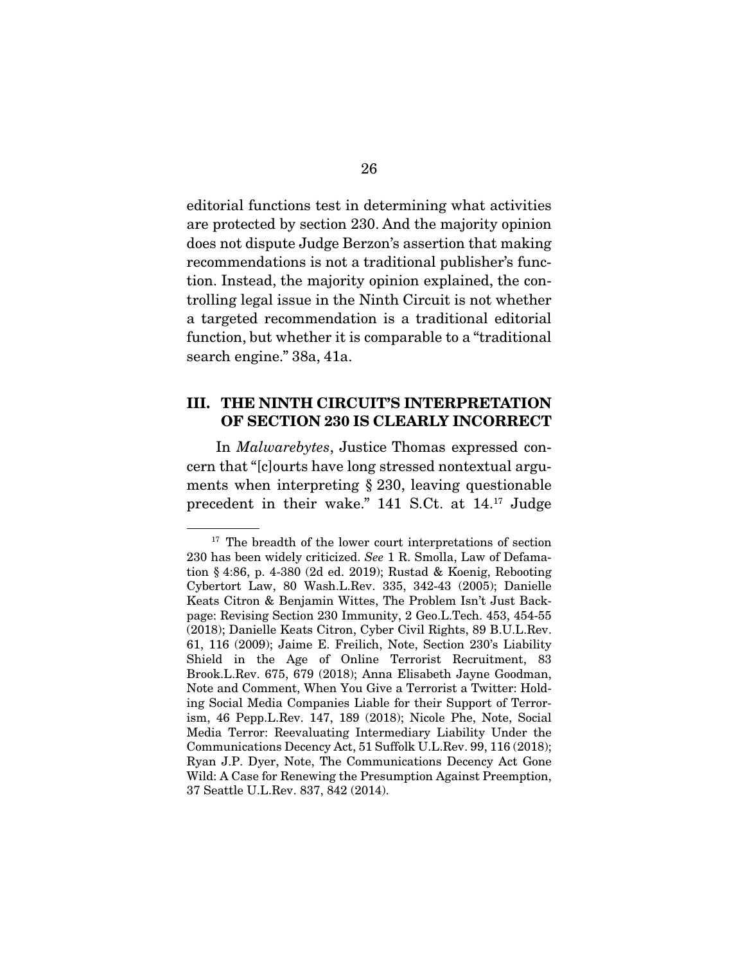editorial functions test in determining what activities are protected by section 230. And the majority opinion does not dispute Judge Berzon's assertion that making recommendations is not a traditional publisher's function. Instead, the majority opinion explained, the controlling legal issue in the Ninth Circuit is not whether a targeted recommendation is a traditional editorial function, but whether it is comparable to a "traditional search engine." 38a, 41a.

### **III. THE NINTH CIRCUIT'S INTERPRETATION OF SECTION 230 IS CLEARLY INCORRECT**

 In *Malwarebytes*, Justice Thomas expressed concern that "[c]ourts have long stressed nontextual arguments when interpreting § 230, leaving questionable precedent in their wake." 141 S.Ct. at 14.17 Judge

<sup>&</sup>lt;sup>17</sup> The breadth of the lower court interpretations of section 230 has been widely criticized. *See* 1 R. Smolla, Law of Defamation § 4:86, p. 4-380 (2d ed. 2019); Rustad & Koenig, Rebooting Cybertort Law, 80 Wash.L.Rev. 335, 342-43 (2005); Danielle Keats Citron & Benjamin Wittes, The Problem Isn't Just Backpage: Revising Section 230 Immunity, 2 Geo.L.Tech. 453, 454-55 (2018); Danielle Keats Citron, Cyber Civil Rights, 89 B.U.L.Rev. 61, 116 (2009); Jaime E. Freilich, Note, Section 230's Liability Shield in the Age of Online Terrorist Recruitment, 83 Brook.L.Rev. 675, 679 (2018); Anna Elisabeth Jayne Goodman, Note and Comment, When You Give a Terrorist a Twitter: Holding Social Media Companies Liable for their Support of Terrorism, 46 Pepp.L.Rev. 147, 189 (2018); Nicole Phe, Note, Social Media Terror: Reevaluating Intermediary Liability Under the Communications Decency Act, 51 Suffolk U.L.Rev. 99, 116 (2018); Ryan J.P. Dyer, Note, The Communications Decency Act Gone Wild: A Case for Renewing the Presumption Against Preemption, 37 Seattle U.L.Rev. 837, 842 (2014).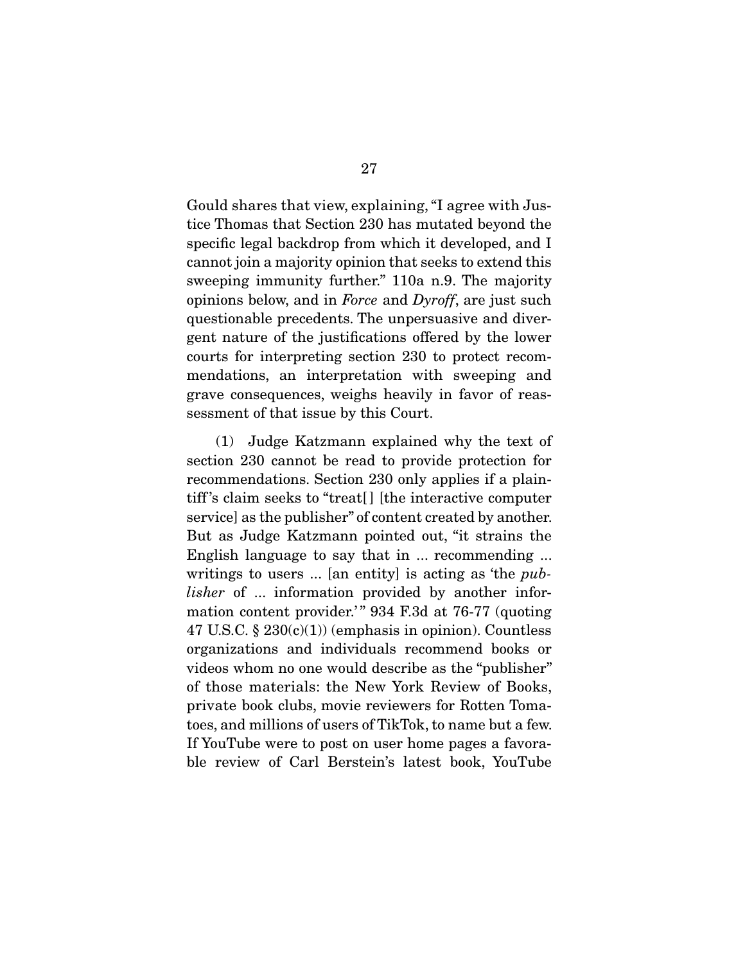Gould shares that view, explaining, "I agree with Justice Thomas that Section 230 has mutated beyond the specific legal backdrop from which it developed, and I cannot join a majority opinion that seeks to extend this sweeping immunity further." 110a n.9. The majority opinions below, and in *Force* and *Dyroff*, are just such questionable precedents. The unpersuasive and divergent nature of the justifications offered by the lower courts for interpreting section 230 to protect recommendations, an interpretation with sweeping and grave consequences, weighs heavily in favor of reassessment of that issue by this Court.

 (1) Judge Katzmann explained why the text of section 230 cannot be read to provide protection for recommendations. Section 230 only applies if a plaintiff 's claim seeks to "treat[ ] [the interactive computer service] as the publisher" of content created by another. But as Judge Katzmann pointed out, "it strains the English language to say that in ... recommending ... writings to users ... [an entity] is acting as 'the *publisher* of ... information provided by another information content provider.'" 934 F.3d at 76-77 (quoting 47 U.S.C.  $\S 230(c)(1)$  (emphasis in opinion). Countless organizations and individuals recommend books or videos whom no one would describe as the "publisher" of those materials: the New York Review of Books, private book clubs, movie reviewers for Rotten Tomatoes, and millions of users of TikTok, to name but a few. If YouTube were to post on user home pages a favorable review of Carl Berstein's latest book, YouTube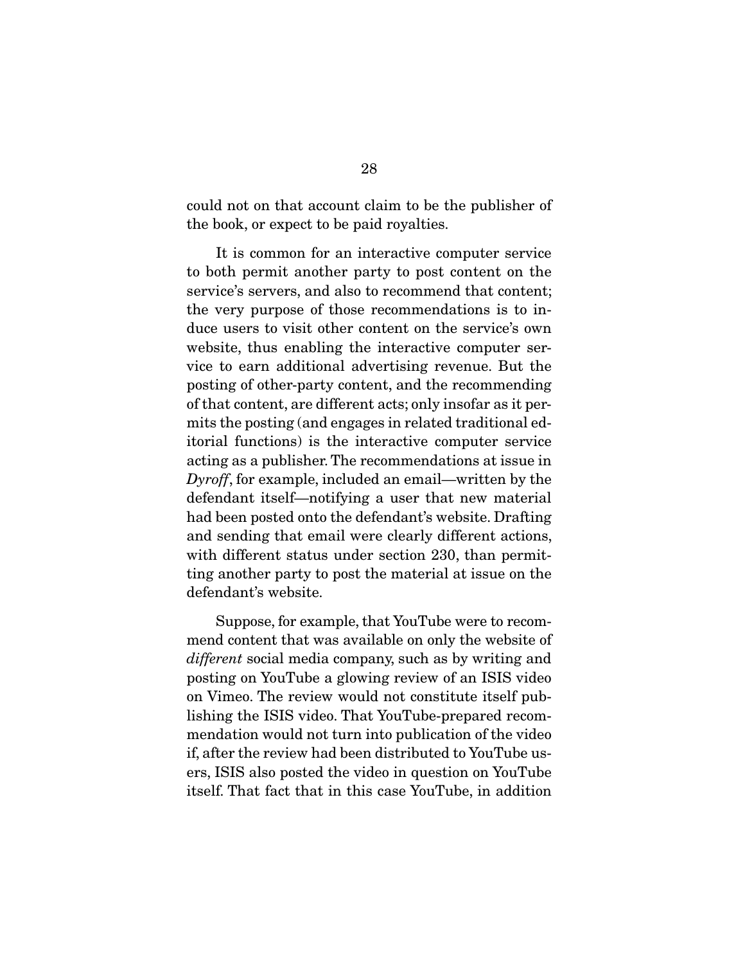could not on that account claim to be the publisher of the book, or expect to be paid royalties.

 It is common for an interactive computer service to both permit another party to post content on the service's servers, and also to recommend that content; the very purpose of those recommendations is to induce users to visit other content on the service's own website, thus enabling the interactive computer service to earn additional advertising revenue. But the posting of other-party content, and the recommending of that content, are different acts; only insofar as it permits the posting (and engages in related traditional editorial functions) is the interactive computer service acting as a publisher. The recommendations at issue in *Dyroff*, for example, included an email—written by the defendant itself—notifying a user that new material had been posted onto the defendant's website. Drafting and sending that email were clearly different actions, with different status under section 230, than permitting another party to post the material at issue on the defendant's website.

 Suppose, for example, that YouTube were to recommend content that was available on only the website of *different* social media company, such as by writing and posting on YouTube a glowing review of an ISIS video on Vimeo. The review would not constitute itself publishing the ISIS video. That YouTube-prepared recommendation would not turn into publication of the video if, after the review had been distributed to YouTube users, ISIS also posted the video in question on YouTube itself. That fact that in this case YouTube, in addition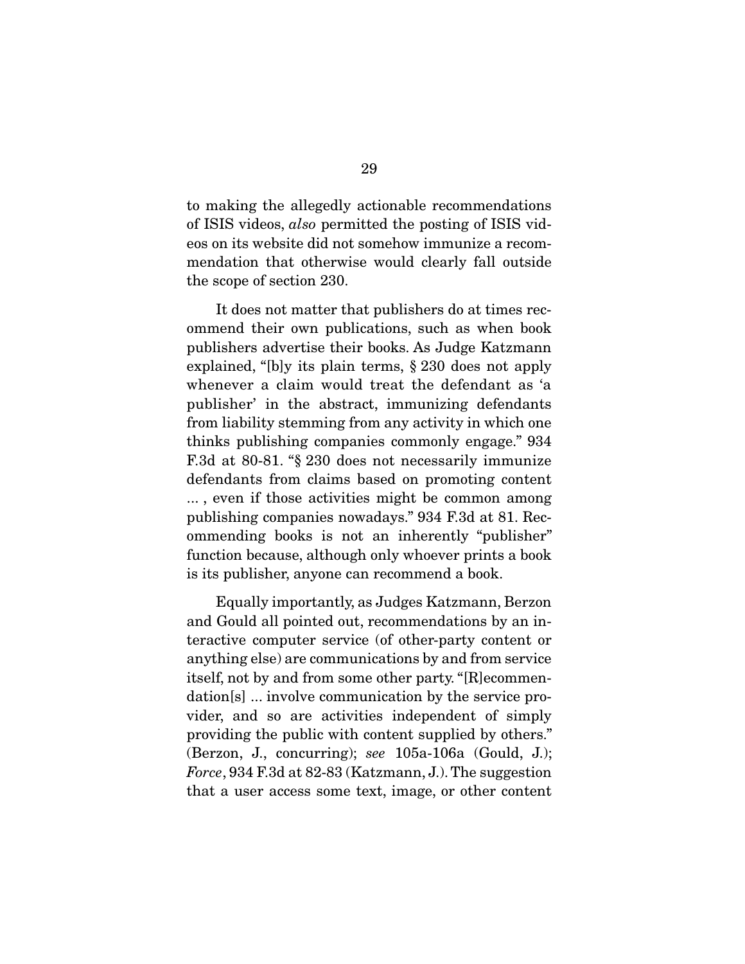to making the allegedly actionable recommendations of ISIS videos, *also* permitted the posting of ISIS videos on its website did not somehow immunize a recommendation that otherwise would clearly fall outside the scope of section 230.

 It does not matter that publishers do at times recommend their own publications, such as when book publishers advertise their books. As Judge Katzmann explained, "[b]y its plain terms, § 230 does not apply whenever a claim would treat the defendant as 'a publisher' in the abstract, immunizing defendants from liability stemming from any activity in which one thinks publishing companies commonly engage." 934 F.3d at 80-81. "§ 230 does not necessarily immunize defendants from claims based on promoting content ... , even if those activities might be common among publishing companies nowadays." 934 F.3d at 81. Recommending books is not an inherently "publisher" function because, although only whoever prints a book is its publisher, anyone can recommend a book.

 Equally importantly, as Judges Katzmann, Berzon and Gould all pointed out, recommendations by an interactive computer service (of other-party content or anything else) are communications by and from service itself, not by and from some other party. "[R]ecommendation[s] ... involve communication by the service provider, and so are activities independent of simply providing the public with content supplied by others." (Berzon, J., concurring); *see* 105a-106a (Gould, J.); *Force*, 934 F.3d at 82-83 (Katzmann, J.). The suggestion that a user access some text, image, or other content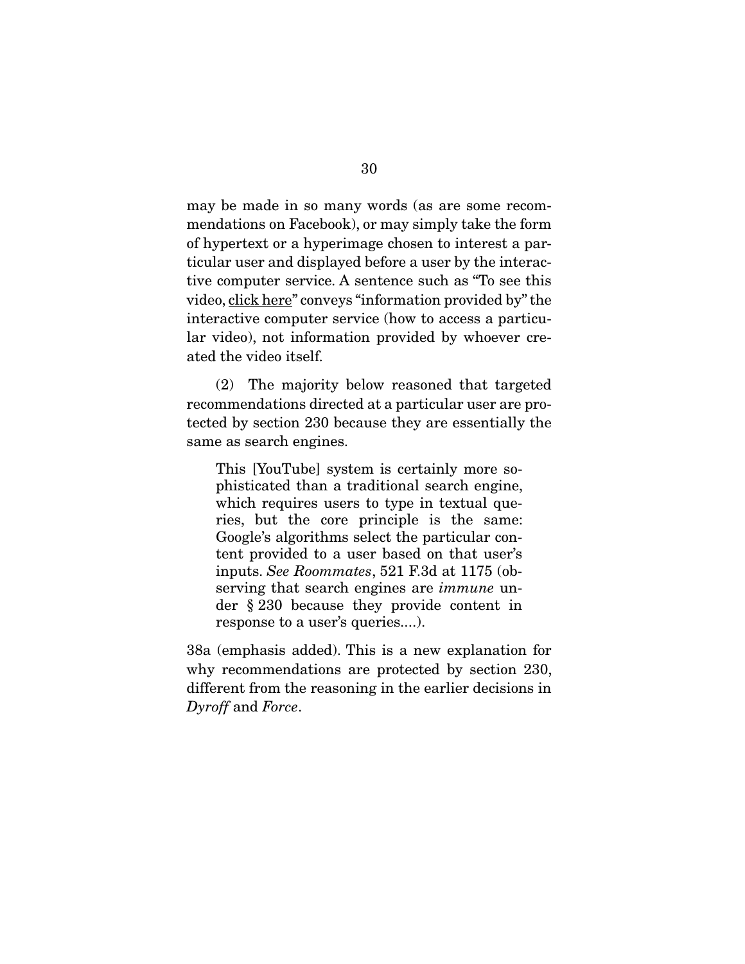may be made in so many words (as are some recommendations on Facebook), or may simply take the form of hypertext or a hyperimage chosen to interest a particular user and displayed before a user by the interactive computer service. A sentence such as "To see this video, click here" conveys "information provided by" the interactive computer service (how to access a particular video), not information provided by whoever created the video itself.

 (2) The majority below reasoned that targeted recommendations directed at a particular user are protected by section 230 because they are essentially the same as search engines.

This [YouTube] system is certainly more sophisticated than a traditional search engine, which requires users to type in textual queries, but the core principle is the same: Google's algorithms select the particular content provided to a user based on that user's inputs. *See Roommates*, 521 F.3d at 1175 (observing that search engines are *immune* under § 230 because they provide content in response to a user's queries....).

38a (emphasis added). This is a new explanation for why recommendations are protected by section 230, different from the reasoning in the earlier decisions in *Dyroff* and *Force*.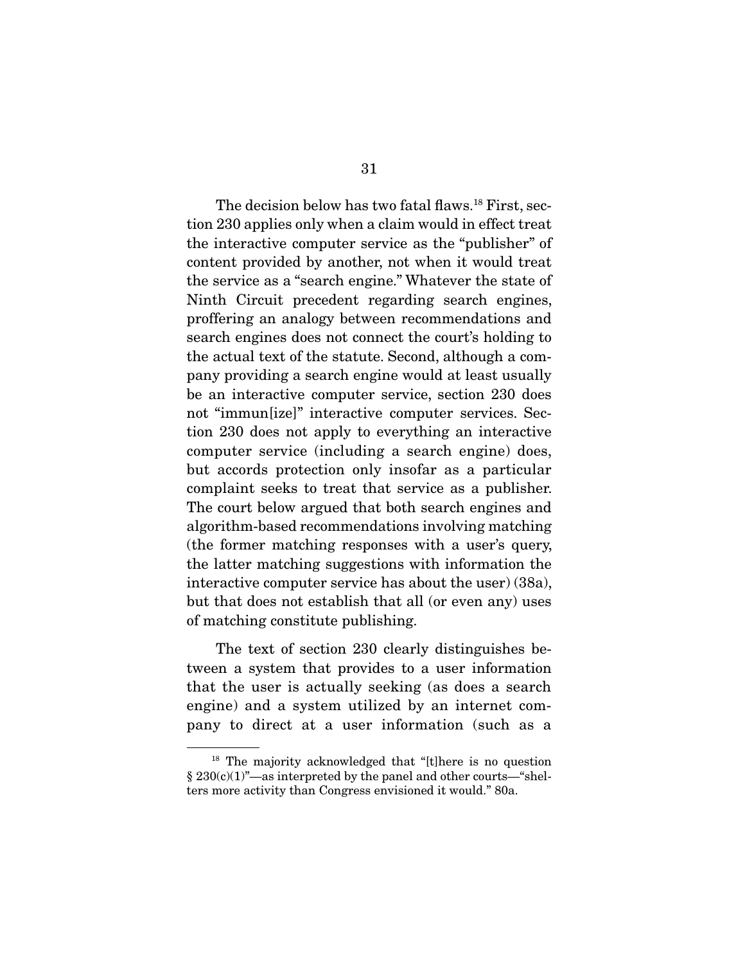The decision below has two fatal flaws.<sup>18</sup> First, section 230 applies only when a claim would in effect treat the interactive computer service as the "publisher" of content provided by another, not when it would treat the service as a "search engine." Whatever the state of Ninth Circuit precedent regarding search engines, proffering an analogy between recommendations and search engines does not connect the court's holding to the actual text of the statute. Second, although a company providing a search engine would at least usually be an interactive computer service, section 230 does not "immun[ize]" interactive computer services. Section 230 does not apply to everything an interactive computer service (including a search engine) does, but accords protection only insofar as a particular complaint seeks to treat that service as a publisher. The court below argued that both search engines and algorithm-based recommendations involving matching (the former matching responses with a user's query, the latter matching suggestions with information the interactive computer service has about the user) (38a), but that does not establish that all (or even any) uses of matching constitute publishing.

 The text of section 230 clearly distinguishes between a system that provides to a user information that the user is actually seeking (as does a search engine) and a system utilized by an internet company to direct at a user information (such as a

<sup>18</sup> The majority acknowledged that "[t]here is no question § 230(c)(1)"—as interpreted by the panel and other courts—"shelters more activity than Congress envisioned it would." 80a.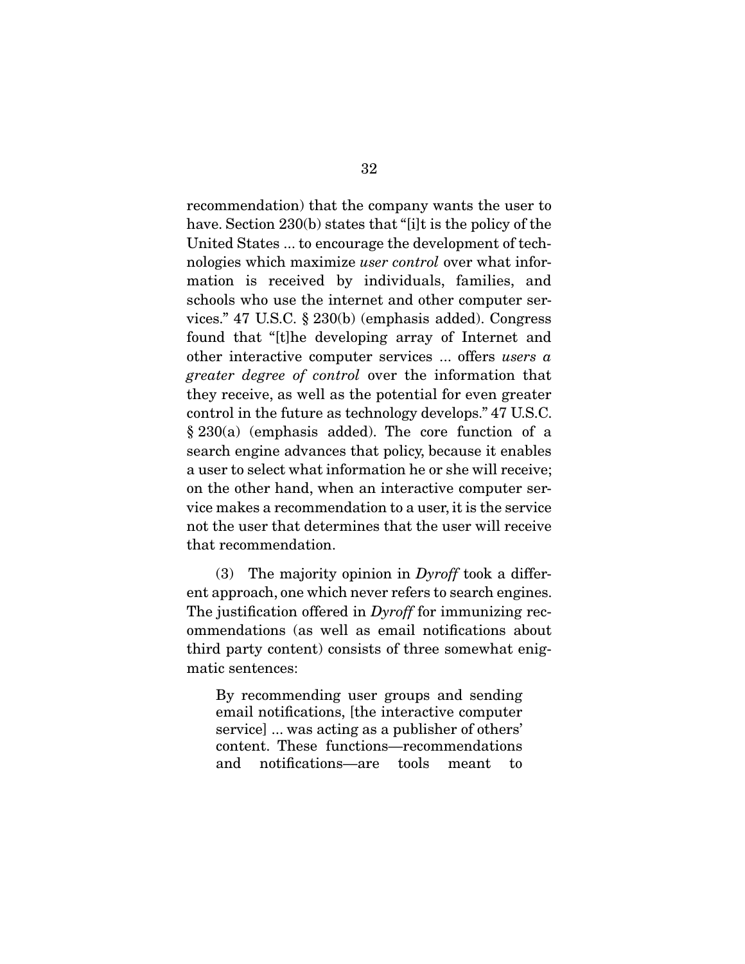recommendation) that the company wants the user to have. Section 230(b) states that "[i]t is the policy of the United States ... to encourage the development of technologies which maximize *user control* over what information is received by individuals, families, and schools who use the internet and other computer services." 47 U.S.C. § 230(b) (emphasis added). Congress found that "[t]he developing array of Internet and other interactive computer services ... offers *users a greater degree of control* over the information that they receive, as well as the potential for even greater control in the future as technology develops." 47 U.S.C. § 230(a) (emphasis added). The core function of a search engine advances that policy, because it enables a user to select what information he or she will receive; on the other hand, when an interactive computer service makes a recommendation to a user, it is the service not the user that determines that the user will receive that recommendation.

 (3) The majority opinion in *Dyroff* took a different approach, one which never refers to search engines. The justification offered in *Dyroff* for immunizing recommendations (as well as email notifications about third party content) consists of three somewhat enigmatic sentences:

By recommending user groups and sending email notifications, [the interactive computer service] ... was acting as a publisher of others' content. These functions—recommendations and notifications—are tools meant to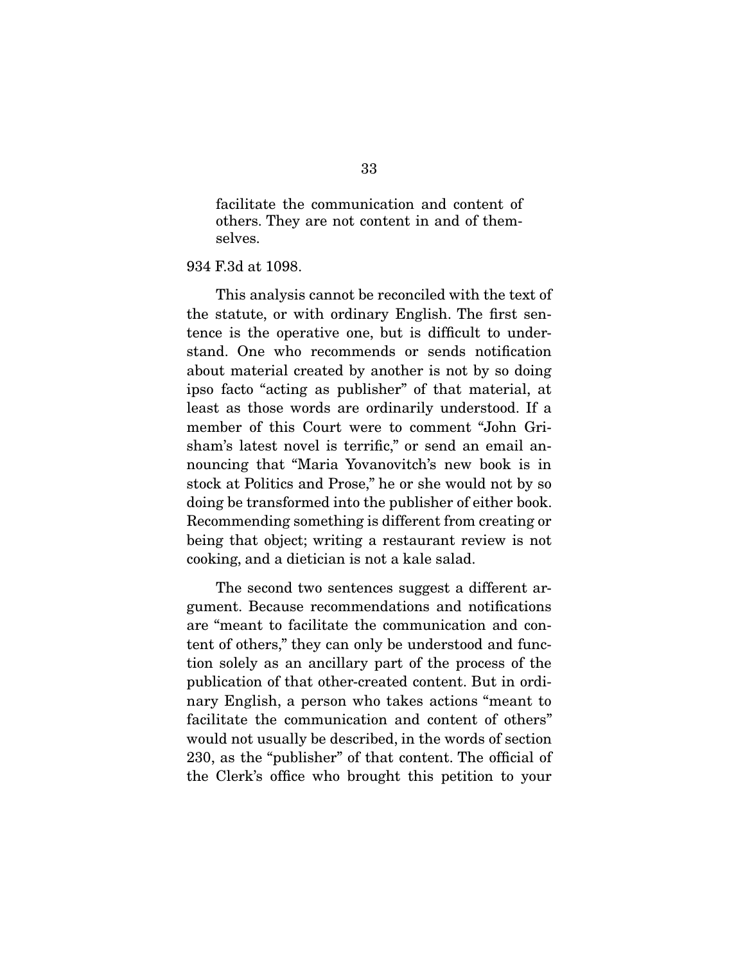facilitate the communication and content of others. They are not content in and of themselves.

934 F.3d at 1098.

 This analysis cannot be reconciled with the text of the statute, or with ordinary English. The first sentence is the operative one, but is difficult to understand. One who recommends or sends notification about material created by another is not by so doing ipso facto "acting as publisher" of that material, at least as those words are ordinarily understood. If a member of this Court were to comment "John Grisham's latest novel is terrific," or send an email announcing that "Maria Yovanovitch's new book is in stock at Politics and Prose," he or she would not by so doing be transformed into the publisher of either book. Recommending something is different from creating or being that object; writing a restaurant review is not cooking, and a dietician is not a kale salad.

 The second two sentences suggest a different argument. Because recommendations and notifications are "meant to facilitate the communication and content of others," they can only be understood and function solely as an ancillary part of the process of the publication of that other-created content. But in ordinary English, a person who takes actions "meant to facilitate the communication and content of others" would not usually be described, in the words of section 230, as the "publisher" of that content. The official of the Clerk's office who brought this petition to your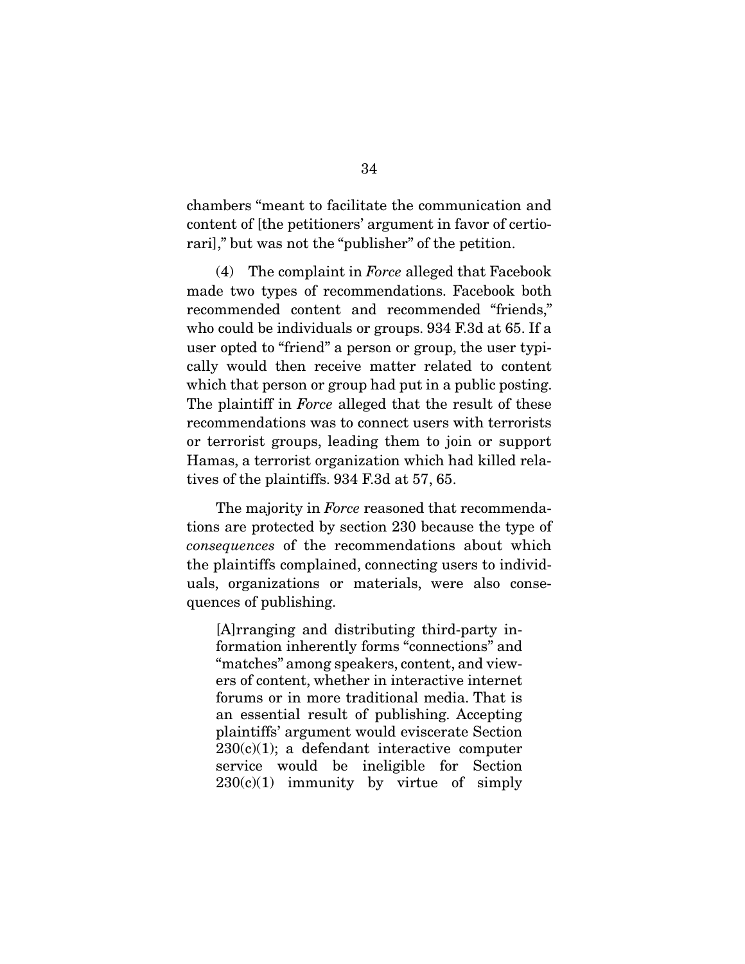chambers "meant to facilitate the communication and content of [the petitioners' argument in favor of certiorari]," but was not the "publisher" of the petition.

 (4) The complaint in *Force* alleged that Facebook made two types of recommendations. Facebook both recommended content and recommended "friends," who could be individuals or groups. 934 F.3d at 65. If a user opted to "friend" a person or group, the user typically would then receive matter related to content which that person or group had put in a public posting. The plaintiff in *Force* alleged that the result of these recommendations was to connect users with terrorists or terrorist groups, leading them to join or support Hamas, a terrorist organization which had killed relatives of the plaintiffs. 934 F.3d at 57, 65.

 The majority in *Force* reasoned that recommendations are protected by section 230 because the type of *consequences* of the recommendations about which the plaintiffs complained, connecting users to individuals, organizations or materials, were also consequences of publishing.

[A]rranging and distributing third-party information inherently forms "connections" and "matches" among speakers, content, and viewers of content, whether in interactive internet forums or in more traditional media. That is an essential result of publishing. Accepting plaintiffs' argument would eviscerate Section  $230(c)(1)$ ; a defendant interactive computer service would be ineligible for Section  $230(c)(1)$  immunity by virtue of simply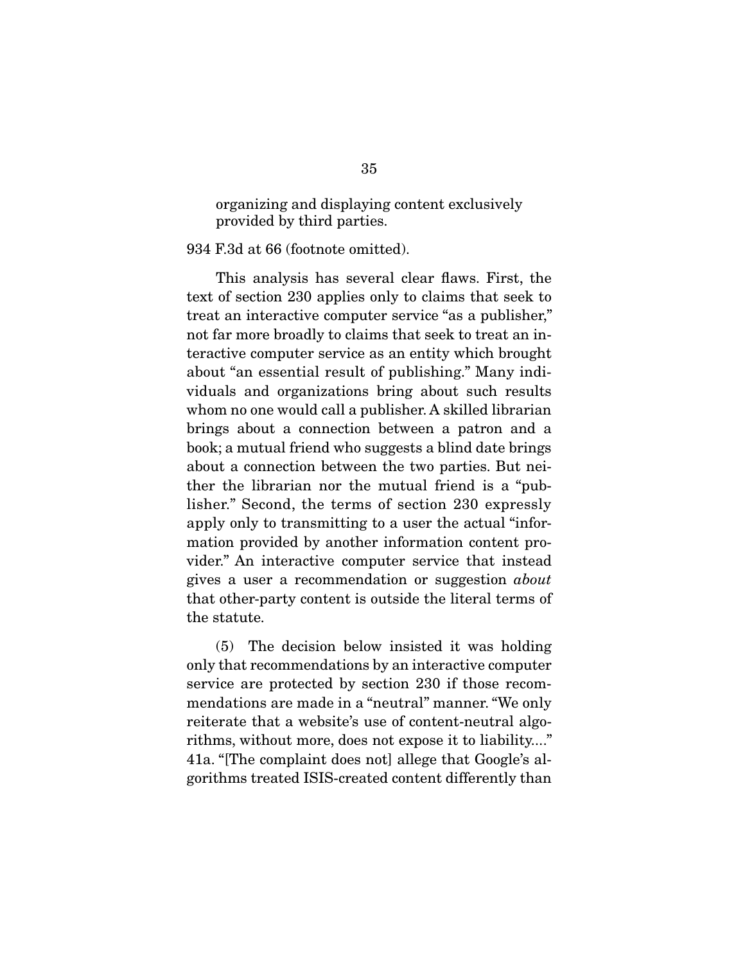organizing and displaying content exclusively provided by third parties.

934 F.3d at 66 (footnote omitted).

 This analysis has several clear flaws. First, the text of section 230 applies only to claims that seek to treat an interactive computer service "as a publisher," not far more broadly to claims that seek to treat an interactive computer service as an entity which brought about "an essential result of publishing." Many individuals and organizations bring about such results whom no one would call a publisher. A skilled librarian brings about a connection between a patron and a book; a mutual friend who suggests a blind date brings about a connection between the two parties. But neither the librarian nor the mutual friend is a "publisher." Second, the terms of section 230 expressly apply only to transmitting to a user the actual "information provided by another information content provider." An interactive computer service that instead gives a user a recommendation or suggestion *about* that other-party content is outside the literal terms of the statute.

 (5) The decision below insisted it was holding only that recommendations by an interactive computer service are protected by section 230 if those recommendations are made in a "neutral" manner. "We only reiterate that a website's use of content-neutral algorithms, without more, does not expose it to liability...." 41a. "[The complaint does not] allege that Google's algorithms treated ISIS-created content differently than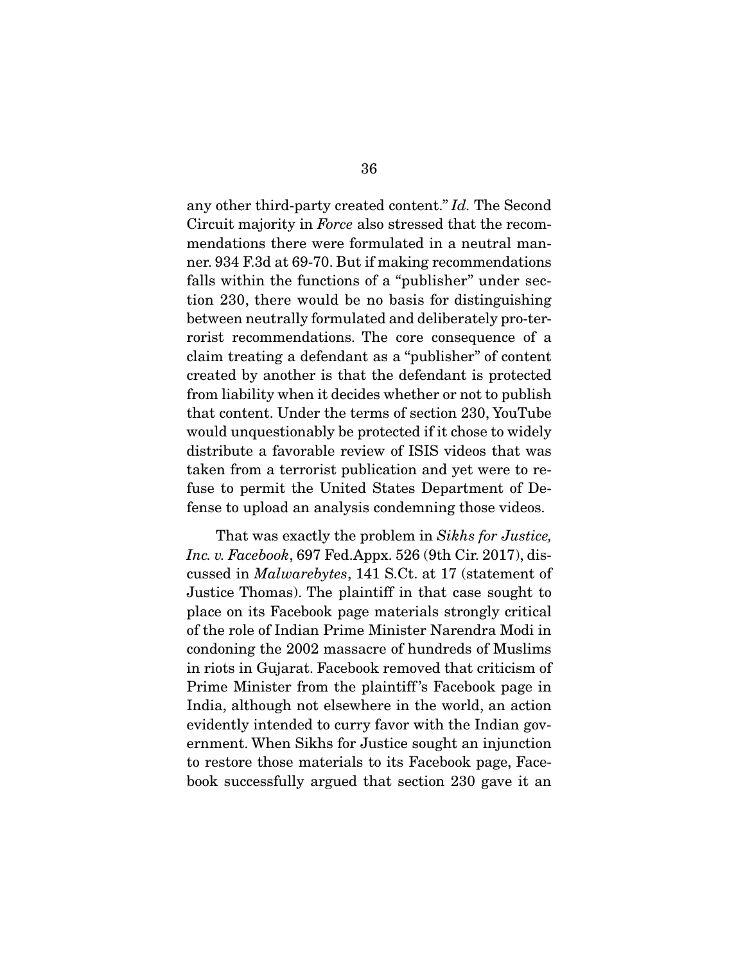any other third-party created content." *Id.* The Second Circuit majority in *Force* also stressed that the recommendations there were formulated in a neutral manner. 934 F.3d at 69-70. But if making recommendations falls within the functions of a "publisher" under section 230, there would be no basis for distinguishing between neutrally formulated and deliberately pro-terrorist recommendations. The core consequence of a claim treating a defendant as a "publisher" of content created by another is that the defendant is protected from liability when it decides whether or not to publish that content. Under the terms of section 230, YouTube would unquestionably be protected if it chose to widely distribute a favorable review of ISIS videos that was taken from a terrorist publication and yet were to refuse to permit the United States Department of Defense to upload an analysis condemning those videos.

 That was exactly the problem in *Sikhs for Justice, Inc. v. Facebook*, 697 Fed.Appx. 526 (9th Cir. 2017), discussed in *Malwarebytes*, 141 S.Ct. at 17 (statement of Justice Thomas). The plaintiff in that case sought to place on its Facebook page materials strongly critical of the role of Indian Prime Minister Narendra Modi in condoning the 2002 massacre of hundreds of Muslims in riots in Gujarat. Facebook removed that criticism of Prime Minister from the plaintiff 's Facebook page in India, although not elsewhere in the world, an action evidently intended to curry favor with the Indian government. When Sikhs for Justice sought an injunction to restore those materials to its Facebook page, Facebook successfully argued that section 230 gave it an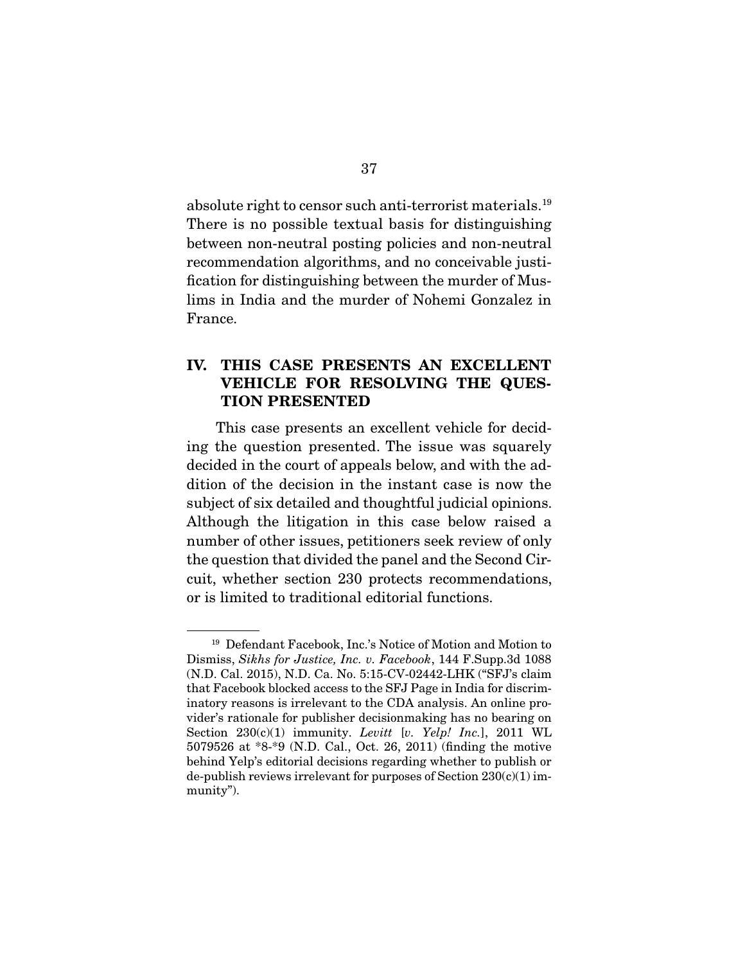absolute right to censor such anti-terrorist materials.19 There is no possible textual basis for distinguishing between non-neutral posting policies and non-neutral recommendation algorithms, and no conceivable justification for distinguishing between the murder of Muslims in India and the murder of Nohemi Gonzalez in France.

### **IV. THIS CASE PRESENTS AN EXCELLENT VEHICLE FOR RESOLVING THE QUES-TION PRESENTED**

 This case presents an excellent vehicle for deciding the question presented. The issue was squarely decided in the court of appeals below, and with the addition of the decision in the instant case is now the subject of six detailed and thoughtful judicial opinions. Although the litigation in this case below raised a number of other issues, petitioners seek review of only the question that divided the panel and the Second Circuit, whether section 230 protects recommendations, or is limited to traditional editorial functions.

<sup>19</sup> Defendant Facebook, Inc.'s Notice of Motion and Motion to Dismiss, *Sikhs for Justice, Inc. v. Facebook*, 144 F.Supp.3d 1088 (N.D. Cal. 2015), N.D. Ca. No. 5:15-CV-02442-LHK ("SFJ's claim that Facebook blocked access to the SFJ Page in India for discriminatory reasons is irrelevant to the CDA analysis. An online provider's rationale for publisher decisionmaking has no bearing on Section 230(c)(1) immunity. *Levitt* [*v. Yelp! Inc.*], 2011 WL 5079526 at \*8-\*9 (N.D. Cal., Oct. 26, 2011) (finding the motive behind Yelp's editorial decisions regarding whether to publish or de-publish reviews irrelevant for purposes of Section  $230(c)(1)$  immunity").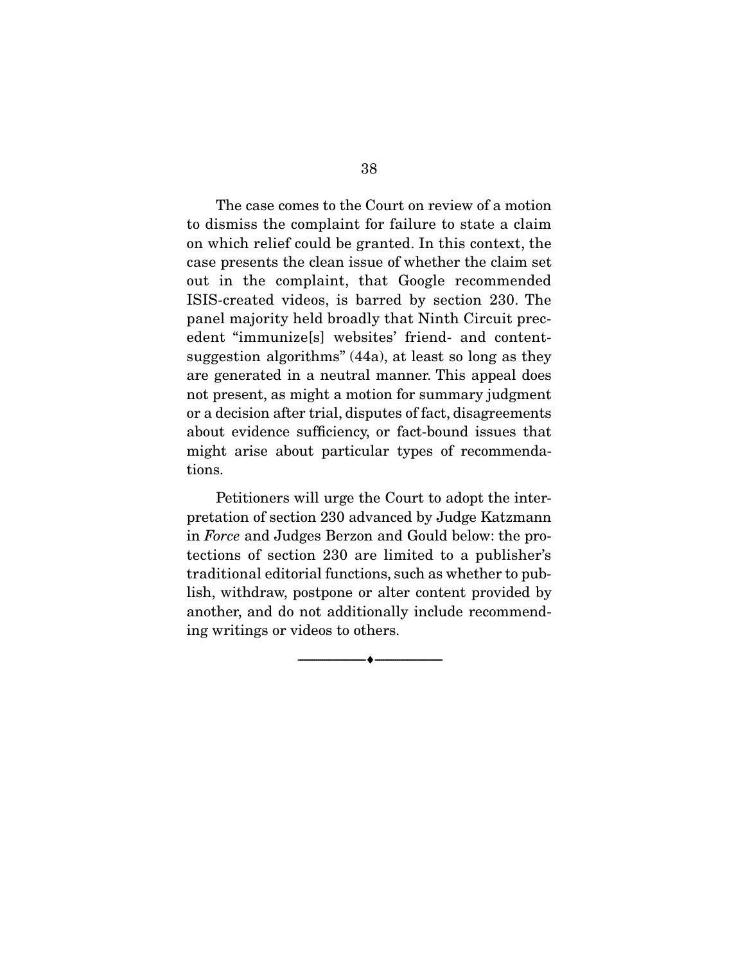The case comes to the Court on review of a motion to dismiss the complaint for failure to state a claim on which relief could be granted. In this context, the case presents the clean issue of whether the claim set out in the complaint, that Google recommended ISIS-created videos, is barred by section 230. The panel majority held broadly that Ninth Circuit precedent "immunize[s] websites' friend- and contentsuggestion algorithms" (44a), at least so long as they are generated in a neutral manner. This appeal does not present, as might a motion for summary judgment or a decision after trial, disputes of fact, disagreements about evidence sufficiency, or fact-bound issues that might arise about particular types of recommendations.

 Petitioners will urge the Court to adopt the interpretation of section 230 advanced by Judge Katzmann in *Force* and Judges Berzon and Gould below: the protections of section 230 are limited to a publisher's traditional editorial functions, such as whether to publish, withdraw, postpone or alter content provided by another, and do not additionally include recommending writings or videos to others.

 $\overbrace{\hspace{2.5cm}}^{\bullet}$   $\overbrace{\hspace{2.5cm}}^{\bullet}$